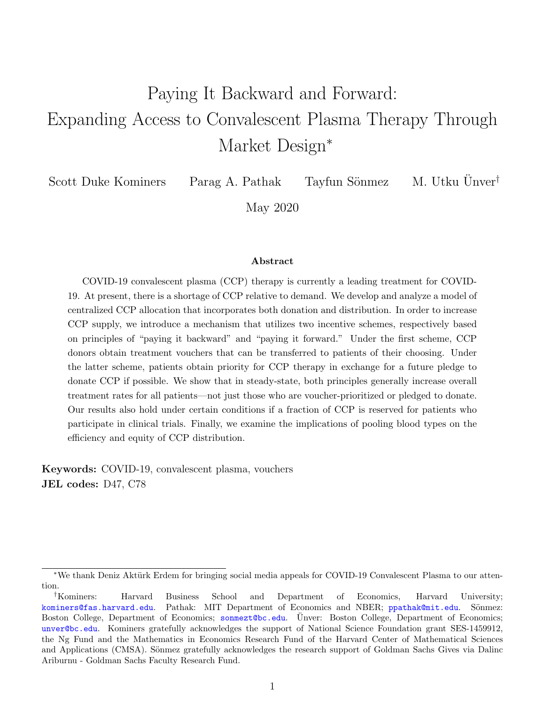# Paying It Backward and Forward: Expanding Access to Convalescent Plasma Therapy Through Market Design<sup>\*</sup>

Scott Duke Kominers Parag A. Pathak Tayfun Sönmez M. Utku Unver<sup>†</sup>

May 2020

#### Abstract

COVID-19 convalescent plasma (CCP) therapy is currently a leading treatment for COVID-19. At present, there is a shortage of CCP relative to demand. We develop and analyze a model of centralized CCP allocation that incorporates both donation and distribution. In order to increase CCP supply, we introduce a mechanism that utilizes two incentive schemes, respectively based on principles of "paying it backward" and "paying it forward." Under the first scheme, CCP donors obtain treatment vouchers that can be transferred to patients of their choosing. Under the latter scheme, patients obtain priority for CCP therapy in exchange for a future pledge to donate CCP if possible. We show that in steady-state, both principles generally increase overall treatment rates for all patients—not just those who are voucher-prioritized or pledged to donate. Our results also hold under certain conditions if a fraction of CCP is reserved for patients who participate in clinical trials. Finally, we examine the implications of pooling blood types on the efficiency and equity of CCP distribution.

Keywords: COVID-19, convalescent plasma, vouchers JEL codes: D47, C78

<sup>\*</sup>We thank Deniz Aktürk Erdem for bringing social media appeals for COVID-19 Convalescent Plasma to our attention.

<sup>†</sup>Kominers: Harvard Business School and Department of Economics, Harvard University; [kominers@fas.harvard.edu](mailto:kominers@fas.harvard.edu). Pathak: MIT Department of Economics and NBER; [ppathak@mit.edu](mailto:ppathak@mit.edu). Sönmez: Boston College, Department of Economics; [sonmezt@bc.edu](mailto:sonmezt@bc.edu). Unver: Boston College, Department of Economics; [unver@bc.edu](mailto:unver@bc.edu). Kominers gratefully acknowledges the support of National Science Foundation grant SES-1459912, the Ng Fund and the Mathematics in Economics Research Fund of the Harvard Center of Mathematical Sciences and Applications (CMSA). Sönmez gratefully acknowledges the research support of Goldman Sachs Gives via Dalinc Ariburnu - Goldman Sachs Faculty Research Fund.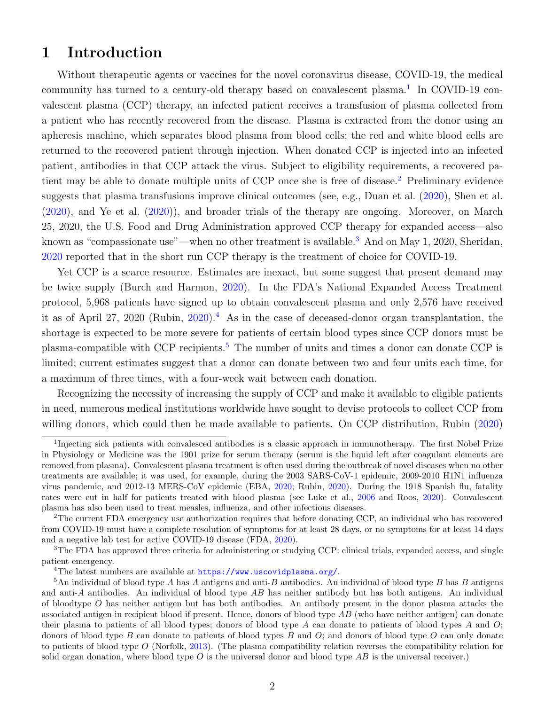### 1 Introduction

Without therapeutic agents or vaccines for the novel coronavirus disease, COVID-19, the medical community has turned to a century-old therapy based on convalescent plasma.<sup>[1](#page-1-0)</sup> In COVID-19 convalescent plasma (CCP) therapy, an infected patient receives a transfusion of plasma collected from a patient who has recently recovered from the disease. Plasma is extracted from the donor using an apheresis machine, which separates blood plasma from blood cells; the red and white blood cells are returned to the recovered patient through injection. When donated CCP is injected into an infected patient, antibodies in that CCP attack the virus. Subject to eligibility requirements, a recovered pa-tient may be able to donate multiple units of CCP once she is free of disease.<sup>[2](#page-1-1)</sup> Preliminary evidence suggests that plasma transfusions improve clinical outcomes (see, e.g., Duan et al. [\(2020\)](#page-22-0), Shen et al. [\(2020\)](#page-23-0), and Ye et al. [\(2020\)](#page-23-1)), and broader trials of the therapy are ongoing. Moreover, on March 25, 2020, the U.S. Food and Drug Administration approved CCP therapy for expanded access—also known as "compassionate use"—when no other treatment is available.<sup>[3](#page-1-2)</sup> And on May 1, 2020, Sheridan, [2020](#page-23-2) reported that in the short run CCP therapy is the treatment of choice for COVID-19.

Yet CCP is a scarce resource. Estimates are inexact, but some suggest that present demand may be twice supply (Burch and Harmon, [2020\)](#page-21-0). In the FDA's National Expanded Access Treatment protocol, 5,968 patients have signed up to obtain convalescent plasma and only 2,576 have received it as of April 27, 2020 (Rubin, [2020\)](#page-23-3).<sup>[4](#page-1-3)</sup> As in the case of deceased-donor organ transplantation, the shortage is expected to be more severe for patients of certain blood types since CCP donors must be plasma-compatible with CCP recipients.<sup>[5](#page-1-4)</sup> The number of units and times a donor can donate CCP is limited; current estimates suggest that a donor can donate between two and four units each time, for a maximum of three times, with a four-week wait between each donation.

Recognizing the necessity of increasing the supply of CCP and make it available to eligible patients in need, numerous medical institutions worldwide have sought to devise protocols to collect CCP from willing donors, which could then be made available to patients. On CCP distribution, Rubin [\(2020\)](#page-23-3)

<span id="page-1-0"></span><sup>&</sup>lt;sup>1</sup>Injecting sick patients with convalesced antibodies is a classic approach in immunotherapy. The first Nobel Prize in Physiology or Medicine was the 1901 prize for serum therapy (serum is the liquid left after coagulant elements are removed from plasma). Convalescent plasma treatment is often used during the outbreak of novel diseases when no other treatments are available; it was used, for example, during the 2003 SARS-CoV-1 epidemic, 2009-2010 H1N1 influenza virus pandemic, and 2012-13 MERS-CoV epidemic (EBA, [2020;](#page-22-1) Rubin, [2020\)](#page-23-3). During the 1918 Spanish flu, fatality rates were cut in half for patients treated with blood plasma (see Luke et al., [2006](#page-22-2) and Roos, [2020\)](#page-22-3). Convalescent plasma has also been used to treat measles, influenza, and other infectious diseases.

<span id="page-1-1"></span><sup>2</sup>The current FDA emergency use authorization requires that before donating CCP, an individual who has recovered from COVID-19 must have a complete resolution of symptoms for at least 28 days, or no symptoms for at least 14 days and a negative lab test for active COVID-19 disease (FDA, [2020\)](#page-22-4).

<span id="page-1-2"></span><sup>3</sup>The FDA has approved three criteria for administering or studying CCP: clinical trials, expanded access, and single patient emergency.

<span id="page-1-4"></span><span id="page-1-3"></span><sup>&</sup>lt;sup>4</sup>The latest numbers are available at <https://www.uscovidplasma.org/>.

 $5$ An individual of blood type A has A antigens and anti-B antibodies. An individual of blood type B has B antigens and anti-A antibodies. An individual of blood type  $AB$  has neither antibody but has both antigens. An individual of bloodtype  $O$  has neither antigen but has both antibodies. An antibody present in the donor plasma attacks the associated antigen in recipient blood if present. Hence, donors of blood type AB (who have neither antigen) can donate their plasma to patients of all blood types; donors of blood type A can donate to patients of blood types A and  $O$ ; donors of blood type  $B$  can donate to patients of blood types  $B$  and  $O$ ; and donors of blood type  $O$  can only donate to patients of blood type  $O$  (Norfolk, [2013\)](#page-22-5). (The plasma compatibility relation reverses the compatibility relation for solid organ donation, where blood type  $O$  is the universal donor and blood type  $AB$  is the universal receiver.)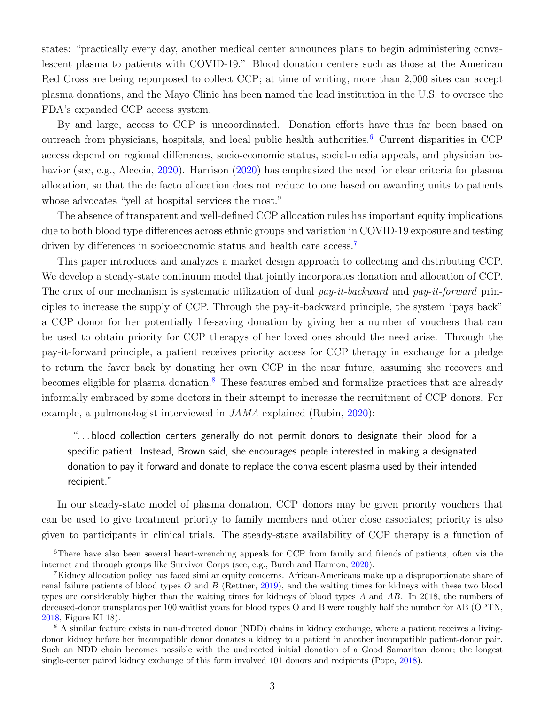states: "practically every day, another medical center announces plans to begin administering convalescent plasma to patients with COVID-19." Blood donation centers such as those at the American Red Cross are being repurposed to collect CCP; at time of writing, more than 2,000 sites can accept plasma donations, and the Mayo Clinic has been named the lead institution in the U.S. to oversee the FDA's expanded CCP access system.

By and large, access to CCP is uncoordinated. Donation efforts have thus far been based on outreach from physicians, hospitals, and local public health authorities.[6](#page-2-0) Current disparities in CCP access depend on regional differences, socio-economic status, social-media appeals, and physician behavior (see, e.g., Aleccia, [2020\)](#page-21-1). Harrison [\(2020\)](#page-22-6) has emphasized the need for clear criteria for plasma allocation, so that the de facto allocation does not reduce to one based on awarding units to patients whose advocates "yell at hospital services the most."

The absence of transparent and well-defined CCP allocation rules has important equity implications due to both blood type differences across ethnic groups and variation in COVID-19 exposure and testing driven by differences in socioeconomic status and health care access.<sup>[7](#page-2-1)</sup>

This paper introduces and analyzes a market design approach to collecting and distributing CCP. We develop a steady-state continuum model that jointly incorporates donation and allocation of CCP. The crux of our mechanism is systematic utilization of dual pay-it-backward and pay-it-forward principles to increase the supply of CCP. Through the pay-it-backward principle, the system "pays back" a CCP donor for her potentially life-saving donation by giving her a number of vouchers that can be used to obtain priority for CCP therapys of her loved ones should the need arise. Through the pay-it-forward principle, a patient receives priority access for CCP therapy in exchange for a pledge to return the favor back by donating her own CCP in the near future, assuming she recovers and becomes eligible for plasma donation.<sup>[8](#page-2-2)</sup> These features embed and formalize practices that are already informally embraced by some doctors in their attempt to increase the recruitment of CCP donors. For example, a pulmonologist interviewed in JAMA explained (Rubin, [2020\)](#page-23-3):

"...blood collection centers generally do not permit donors to designate their blood for a specific patient. Instead, Brown said, she encourages people interested in making a designated donation to pay it forward and donate to replace the convalescent plasma used by their intended recipient."

In our steady-state model of plasma donation, CCP donors may be given priority vouchers that can be used to give treatment priority to family members and other close associates; priority is also given to participants in clinical trials. The steady-state availability of CCP therapy is a function of

<span id="page-2-0"></span><sup>&</sup>lt;sup>6</sup>There have also been several heart-wrenching appeals for CCP from family and friends of patients, often via the internet and through groups like Survivor Corps (see, e.g., Burch and Harmon, [2020\)](#page-21-0).

<span id="page-2-1"></span><sup>7</sup>Kidney allocation policy has faced similar equity concerns. African-Americans make up a disproportionate share of renal failure patients of blood types  $O$  and  $B$  (Rettner, [2019\)](#page-22-7), and the waiting times for kidneys with these two blood types are considerably higher than the waiting times for kidneys of blood types A and AB. In 2018, the numbers of deceased-donor transplants per 100 waitlist years for blood types O and B were roughly half the number for AB (OPTN, [2018,](#page-22-8) Figure KI 18).

<span id="page-2-2"></span><sup>&</sup>lt;sup>8</sup> A similar feature exists in non-directed donor (NDD) chains in kidney exchange, where a patient receives a livingdonor kidney before her incompatible donor donates a kidney to a patient in another incompatible patient-donor pair. Such an NDD chain becomes possible with the undirected initial donation of a Good Samaritan donor; the longest single-center paired kidney exchange of this form involved 101 donors and recipients (Pope, [2018\)](#page-22-9).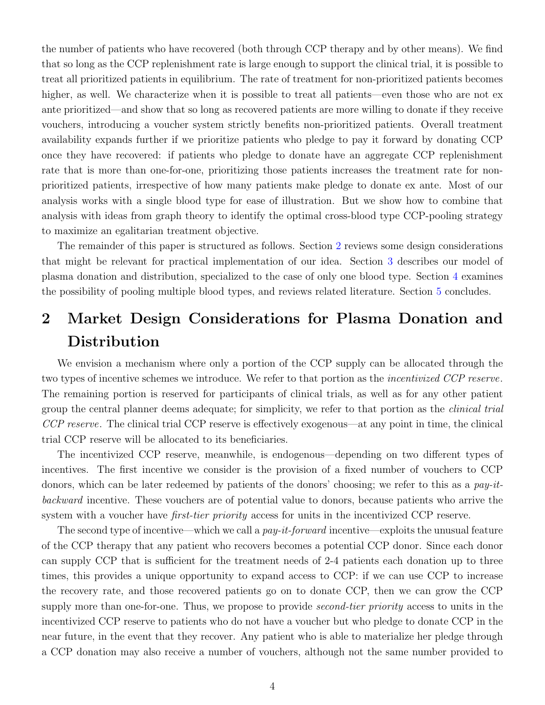the number of patients who have recovered (both through CCP therapy and by other means). We find that so long as the CCP replenishment rate is large enough to support the clinical trial, it is possible to treat all prioritized patients in equilibrium. The rate of treatment for non-prioritized patients becomes higher, as well. We characterize when it is possible to treat all patients—even those who are not ex ante prioritized—and show that so long as recovered patients are more willing to donate if they receive vouchers, introducing a voucher system strictly benefits non-prioritized patients. Overall treatment availability expands further if we prioritize patients who pledge to pay it forward by donating CCP once they have recovered: if patients who pledge to donate have an aggregate CCP replenishment rate that is more than one-for-one, prioritizing those patients increases the treatment rate for nonprioritized patients, irrespective of how many patients make pledge to donate ex ante. Most of our analysis works with a single blood type for ease of illustration. But we show how to combine that analysis with ideas from graph theory to identify the optimal cross-blood type CCP-pooling strategy to maximize an egalitarian treatment objective.

The remainder of this paper is structured as follows. Section [2](#page-3-0) reviews some design considerations that might be relevant for practical implementation of our idea. Section [3](#page-6-0) describes our model of plasma donation and distribution, specialized to the case of only one blood type. Section [4](#page-14-0) examines the possibility of pooling multiple blood types, and reviews related literature. Section [5](#page-20-0) concludes.

## <span id="page-3-0"></span>2 Market Design Considerations for Plasma Donation and **Distribution**

We envision a mechanism where only a portion of the CCP supply can be allocated through the two types of incentive schemes we introduce. We refer to that portion as the *incentivized CCP reserve*. The remaining portion is reserved for participants of clinical trials, as well as for any other patient group the central planner deems adequate; for simplicity, we refer to that portion as the *clinical trial* CCP reserve. The clinical trial CCP reserve is effectively exogenous—at any point in time, the clinical trial CCP reserve will be allocated to its beneficiaries.

The incentivized CCP reserve, meanwhile, is endogenous—depending on two different types of incentives. The first incentive we consider is the provision of a fixed number of vouchers to CCP donors, which can be later redeemed by patients of the donors' choosing; we refer to this as a pay-itbackward incentive. These vouchers are of potential value to donors, because patients who arrive the system with a voucher have *first-tier priority* access for units in the incentivized CCP reserve.

The second type of incentive—which we call a  $pay-it-forward$  incentive—exploits the unusual feature of the CCP therapy that any patient who recovers becomes a potential CCP donor. Since each donor can supply CCP that is sufficient for the treatment needs of 2-4 patients each donation up to three times, this provides a unique opportunity to expand access to CCP: if we can use CCP to increase the recovery rate, and those recovered patients go on to donate CCP, then we can grow the CCP supply more than one-for-one. Thus, we propose to provide *second-tier priority* access to units in the incentivized CCP reserve to patients who do not have a voucher but who pledge to donate CCP in the near future, in the event that they recover. Any patient who is able to materialize her pledge through a CCP donation may also receive a number of vouchers, although not the same number provided to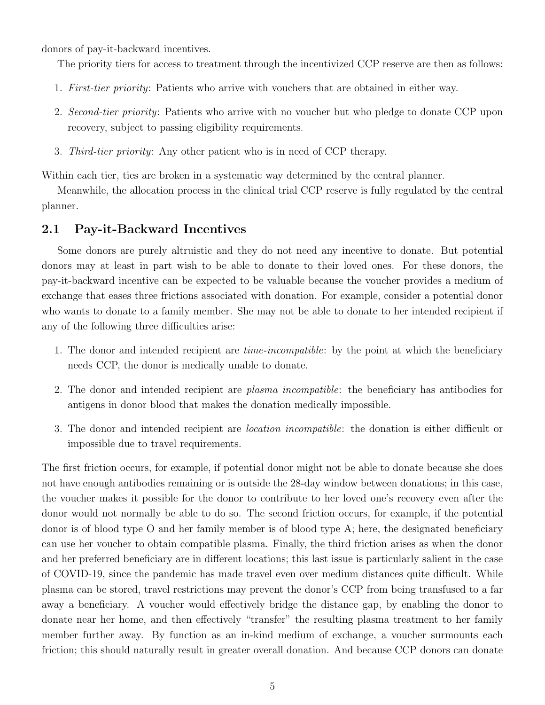donors of pay-it-backward incentives.

The priority tiers for access to treatment through the incentivized CCP reserve are then as follows:

- 1. First-tier priority: Patients who arrive with vouchers that are obtained in either way.
- 2. Second-tier priority: Patients who arrive with no voucher but who pledge to donate CCP upon recovery, subject to passing eligibility requirements.
- 3. Third-tier priority: Any other patient who is in need of CCP therapy.

Within each tier, ties are broken in a systematic way determined by the central planner.

Meanwhile, the allocation process in the clinical trial CCP reserve is fully regulated by the central planner.

#### 2.1 Pay-it-Backward Incentives

Some donors are purely altruistic and they do not need any incentive to donate. But potential donors may at least in part wish to be able to donate to their loved ones. For these donors, the pay-it-backward incentive can be expected to be valuable because the voucher provides a medium of exchange that eases three frictions associated with donation. For example, consider a potential donor who wants to donate to a family member. She may not be able to donate to her intended recipient if any of the following three difficulties arise:

- 1. The donor and intended recipient are time-incompatible: by the point at which the beneficiary needs CCP, the donor is medically unable to donate.
- 2. The donor and intended recipient are plasma incompatible: the beneficiary has antibodies for antigens in donor blood that makes the donation medically impossible.
- 3. The donor and intended recipient are location incompatible: the donation is either difficult or impossible due to travel requirements.

The first friction occurs, for example, if potential donor might not be able to donate because she does not have enough antibodies remaining or is outside the 28-day window between donations; in this case, the voucher makes it possible for the donor to contribute to her loved one's recovery even after the donor would not normally be able to do so. The second friction occurs, for example, if the potential donor is of blood type O and her family member is of blood type A; here, the designated beneficiary can use her voucher to obtain compatible plasma. Finally, the third friction arises as when the donor and her preferred beneficiary are in different locations; this last issue is particularly salient in the case of COVID-19, since the pandemic has made travel even over medium distances quite difficult. While plasma can be stored, travel restrictions may prevent the donor's CCP from being transfused to a far away a beneficiary. A voucher would effectively bridge the distance gap, by enabling the donor to donate near her home, and then effectively "transfer" the resulting plasma treatment to her family member further away. By function as an in-kind medium of exchange, a voucher surmounts each friction; this should naturally result in greater overall donation. And because CCP donors can donate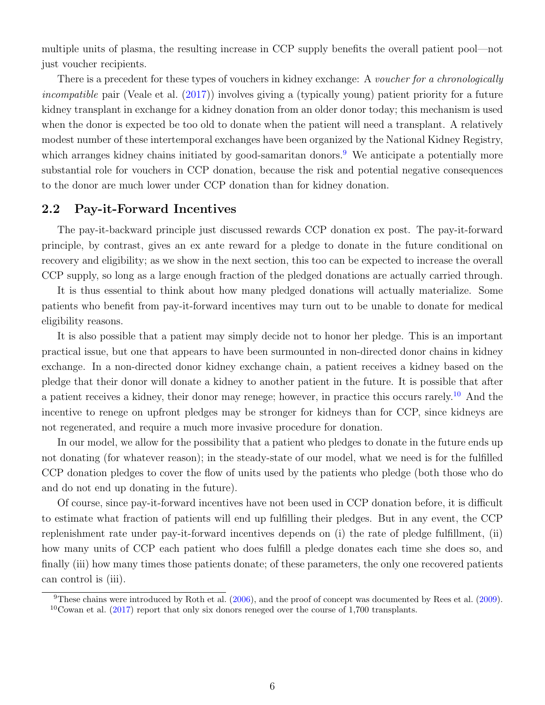multiple units of plasma, the resulting increase in CCP supply benefits the overall patient pool—not just voucher recipients.

There is a precedent for these types of vouchers in kidney exchange: A voucher for a chronologically incompatible pair (Veale et al. [\(2017\)](#page-23-4)) involves giving a (typically young) patient priority for a future kidney transplant in exchange for a kidney donation from an older donor today; this mechanism is used when the donor is expected be too old to donate when the patient will need a transplant. A relatively modest number of these intertemporal exchanges have been organized by the National Kidney Registry, which arranges kidney chains initiated by good-samaritan donors.<sup>[9](#page-5-0)</sup> We anticipate a potentially more substantial role for vouchers in CCP donation, because the risk and potential negative consequences to the donor are much lower under CCP donation than for kidney donation.

#### 2.2 Pay-it-Forward Incentives

The pay-it-backward principle just discussed rewards CCP donation ex post. The pay-it-forward principle, by contrast, gives an ex ante reward for a pledge to donate in the future conditional on recovery and eligibility; as we show in the next section, this too can be expected to increase the overall CCP supply, so long as a large enough fraction of the pledged donations are actually carried through.

It is thus essential to think about how many pledged donations will actually materialize. Some patients who benefit from pay-it-forward incentives may turn out to be unable to donate for medical eligibility reasons.

It is also possible that a patient may simply decide not to honor her pledge. This is an important practical issue, but one that appears to have been surmounted in non-directed donor chains in kidney exchange. In a non-directed donor kidney exchange chain, a patient receives a kidney based on the pledge that their donor will donate a kidney to another patient in the future. It is possible that after a patient receives a kidney, their donor may renege; however, in practice this occurs rarely.[10](#page-5-1) And the incentive to renege on upfront pledges may be stronger for kidneys than for CCP, since kidneys are not regenerated, and require a much more invasive procedure for donation.

In our model, we allow for the possibility that a patient who pledges to donate in the future ends up not donating (for whatever reason); in the steady-state of our model, what we need is for the fulfilled CCP donation pledges to cover the flow of units used by the patients who pledge (both those who do and do not end up donating in the future).

Of course, since pay-it-forward incentives have not been used in CCP donation before, it is difficult to estimate what fraction of patients will end up fulfilling their pledges. But in any event, the CCP replenishment rate under pay-it-forward incentives depends on (i) the rate of pledge fulfillment, (ii) how many units of CCP each patient who does fulfill a pledge donates each time she does so, and finally (iii) how many times those patients donate; of these parameters, the only one recovered patients can control is (iii).

<span id="page-5-1"></span><span id="page-5-0"></span><sup>&</sup>lt;sup>9</sup>These chains were introduced by Roth et al.  $(2006)$ , and the proof of concept was documented by Rees et al.  $(2009)$ .  $10$ Cowan et al. [\(2017\)](#page-21-2) report that only six donors reneged over the course of 1,700 transplants.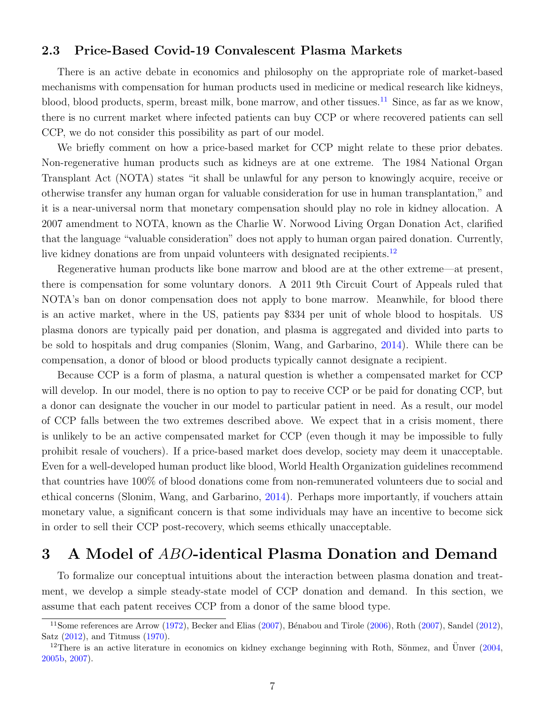#### 2.3 Price-Based Covid-19 Convalescent Plasma Markets

There is an active debate in economics and philosophy on the appropriate role of market-based mechanisms with compensation for human products used in medicine or medical research like kidneys, blood, blood products, sperm, breast milk, bone marrow, and other tissues.<sup>[11](#page-6-1)</sup> Since, as far as we know, there is no current market where infected patients can buy CCP or where recovered patients can sell CCP, we do not consider this possibility as part of our model.

We briefly comment on how a price-based market for CCP might relate to these prior debates. Non-regenerative human products such as kidneys are at one extreme. The 1984 National Organ Transplant Act (NOTA) states "it shall be unlawful for any person to knowingly acquire, receive or otherwise transfer any human organ for valuable consideration for use in human transplantation," and it is a near-universal norm that monetary compensation should play no role in kidney allocation. A 2007 amendment to NOTA, known as the Charlie W. Norwood Living Organ Donation Act, clarified that the language "valuable consideration" does not apply to human organ paired donation. Currently, live kidney donations are from unpaid volunteers with designated recipients.<sup>[12](#page-6-2)</sup>

Regenerative human products like bone marrow and blood are at the other extreme—at present, there is compensation for some voluntary donors. A 2011 9th Circuit Court of Appeals ruled that NOTA's ban on donor compensation does not apply to bone marrow. Meanwhile, for blood there is an active market, where in the US, patients pay \$334 per unit of whole blood to hospitals. US plasma donors are typically paid per donation, and plasma is aggregated and divided into parts to be sold to hospitals and drug companies (Slonim, Wang, and Garbarino, [2014\)](#page-23-6). While there can be compensation, a donor of blood or blood products typically cannot designate a recipient.

Because CCP is a form of plasma, a natural question is whether a compensated market for CCP will develop. In our model, there is no option to pay to receive CCP or be paid for donating CCP, but a donor can designate the voucher in our model to particular patient in need. As a result, our model of CCP falls between the two extremes described above. We expect that in a crisis moment, there is unlikely to be an active compensated market for CCP (even though it may be impossible to fully prohibit resale of vouchers). If a price-based market does develop, society may deem it unacceptable. Even for a well-developed human product like blood, World Health Organization guidelines recommend that countries have 100% of blood donations come from non-remunerated volunteers due to social and ethical concerns (Slonim, Wang, and Garbarino, [2014\)](#page-23-6). Perhaps more importantly, if vouchers attain monetary value, a significant concern is that some individuals may have an incentive to become sick in order to sell their CCP post-recovery, which seems ethically unacceptable.

## <span id="page-6-0"></span>3 A Model of ABO-identical Plasma Donation and Demand

To formalize our conceptual intuitions about the interaction between plasma donation and treatment, we develop a simple steady-state model of CCP donation and demand. In this section, we assume that each patent receives CCP from a donor of the same blood type.

<span id="page-6-1"></span> $11$ Some references are Arrow [\(1972\)](#page-21-3), Becker and Elias [\(2007\)](#page-22-11), Bénabou and Tirole [\(2006\)](#page-21-5), Roth (2007), Sandel [\(2012\)](#page-23-7), Satz [\(2012\)](#page-23-8), and Titmuss [\(1970\)](#page-23-9).

<span id="page-6-2"></span><sup>&</sup>lt;sup>12</sup>There is an active literature in economics on kidney exchange beginning with Roth, Sönmez, and Unver  $(2004, ...)$  $(2004, ...)$  $(2004, ...)$ [2005b,](#page-23-10) [2007\)](#page-23-11).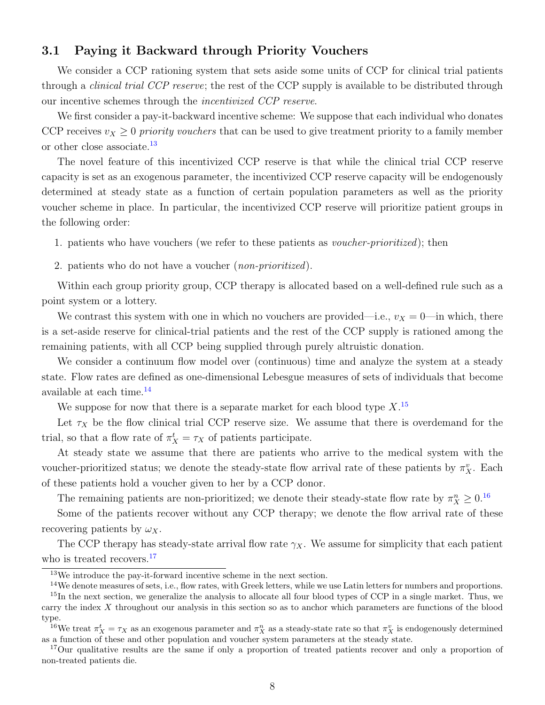#### 3.1 Paying it Backward through Priority Vouchers

We consider a CCP rationing system that sets aside some units of CCP for clinical trial patients through a *clinical trial CCP reserve*; the rest of the CCP supply is available to be distributed through our incentive schemes through the incentivized CCP reserve.

We first consider a pay-it-backward incentive scheme: We suppose that each individual who donates CCP receives  $v_X \geq 0$  priority vouchers that can be used to give treatment priority to a family member or other close associate.<sup>[13](#page-7-0)</sup>

The novel feature of this incentivized CCP reserve is that while the clinical trial CCP reserve capacity is set as an exogenous parameter, the incentivized CCP reserve capacity will be endogenously determined at steady state as a function of certain population parameters as well as the priority voucher scheme in place. In particular, the incentivized CCP reserve will prioritize patient groups in the following order:

1. patients who have vouchers (we refer to these patients as voucher-prioritized); then

2. patients who do not have a voucher (*non-prioritized*).

Within each group priority group, CCP therapy is allocated based on a well-defined rule such as a point system or a lottery.

We contrast this system with one in which no vouchers are provided—i.e.,  $v_X = 0$ —in which, there is a set-aside reserve for clinical-trial patients and the rest of the CCP supply is rationed among the remaining patients, with all CCP being supplied through purely altruistic donation.

We consider a continuum flow model over (continuous) time and analyze the system at a steady state. Flow rates are defined as one-dimensional Lebesgue measures of sets of individuals that become available at each time.<sup>[14](#page-7-1)</sup>

We suppose for now that there is a separate market for each blood type  $X$ .<sup>[15](#page-7-2)</sup>

Let  $\tau_X$  be the flow clinical trial CCP reserve size. We assume that there is overdemand for the trial, so that a flow rate of  $\pi_X^t = \tau_X$  of patients participate.

At steady state we assume that there are patients who arrive to the medical system with the voucher-prioritized status; we denote the steady-state flow arrival rate of these patients by  $\pi_X^v$ . Each of these patients hold a voucher given to her by a CCP donor.

The remaining patients are non-prioritized; we denote their steady-state flow rate by  $\pi_X^n \geq 0$ .<sup>[16](#page-7-3)</sup>

Some of the patients recover without any CCP therapy; we denote the flow arrival rate of these recovering patients by  $\omega_X$ .

The CCP therapy has steady-state arrival flow rate  $\gamma_X$ . We assume for simplicity that each patient who is treated recovers.<sup>[17](#page-7-4)</sup>

<span id="page-7-1"></span><span id="page-7-0"></span><sup>13</sup>We introduce the pay-it-forward incentive scheme in the next section.

<span id="page-7-2"></span><sup>&</sup>lt;sup>14</sup>We denote measures of sets, i.e., flow rates, with Greek letters, while we use Latin letters for numbers and proportions.

 $15$ In the next section, we generalize the analysis to allocate all four blood types of CCP in a single market. Thus, we carry the index X throughout our analysis in this section so as to anchor which parameters are functions of the blood type.

<span id="page-7-3"></span><sup>&</sup>lt;sup>16</sup>We treat  $\pi_X^t = \tau_X$  as an exogenous parameter and  $\pi_X^n$  as a steady-state rate so that  $\pi_X^v$  is endogenously determined as a function of these and other population and voucher system parameters at the steady state.

<span id="page-7-4"></span><sup>&</sup>lt;sup>17</sup>Our qualitative results are the same if only a proportion of treated patients recover and only a proportion of non-treated patients die.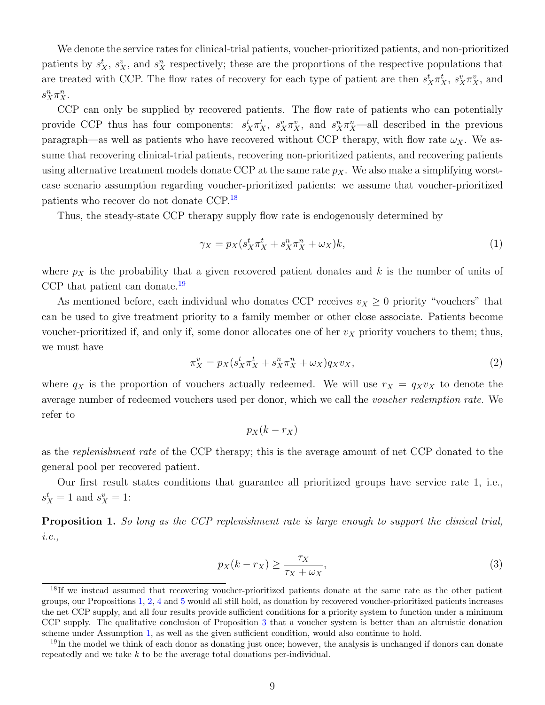We denote the service rates for clinical-trial patients, voucher-prioritized patients, and non-prioritized patients by  $s_X^t$ ,  $s_X^v$ , and  $s_X^n$  respectively; these are the proportions of the respective populations that are treated with CCP. The flow rates of recovery for each type of patient are then  $s_X^t \pi_X^t$ ,  $s_X^v \pi_X^v$ , and  $s_X^n \pi_X^n$ .

CCP can only be supplied by recovered patients. The flow rate of patients who can potentially provide CCP thus has four components:  $s_X^t \pi_X^t$ ,  $s_X^v \pi_X^v$ , and  $s_X^n \pi_X^{n}$ —all described in the previous paragraph—as well as patients who have recovered without CCP therapy, with flow rate  $\omega_X$ . We assume that recovering clinical-trial patients, recovering non-prioritized patients, and recovering patients using alternative treatment models donate CCP at the same rate  $p<sub>X</sub>$ . We also make a simplifying worstcase scenario assumption regarding voucher-prioritized patients: we assume that voucher-prioritized patients who recover do not donate CCP.[18](#page-8-0)

Thus, the steady-state CCP therapy supply flow rate is endogenously determined by

<span id="page-8-3"></span>
$$
\gamma_X = p_X(s_X^t \pi_X^t + s_X^n \pi_X^n + \omega_X)k,\tag{1}
$$

where  $p_X$  is the probability that a given recovered patient donates and k is the number of units of CCP that patient can donate.<sup>[19](#page-8-1)</sup>

As mentioned before, each individual who donates CCP receives  $v_X \geq 0$  priority "vouchers" that can be used to give treatment priority to a family member or other close associate. Patients become voucher-prioritized if, and only if, some donor allocates one of her  $v<sub>X</sub>$  priority vouchers to them; thus, we must have

<span id="page-8-4"></span>
$$
\pi_X^v = p_X(s_X^t \pi_X^t + s_X^n \pi_X^n + \omega_X) q_X v_X,\tag{2}
$$

where  $q_X$  is the proportion of vouchers actually redeemed. We will use  $r_X = q_X v_X$  to denote the average number of redeemed vouchers used per donor, which we call the voucher redemption rate. We refer to

<span id="page-8-5"></span>
$$
p_X(k-r_X)
$$

as the *replenishment rate* of the CCP therapy; this is the average amount of net CCP donated to the general pool per recovered patient.

Our first result states conditions that guarantee all prioritized groups have service rate 1, i.e.,  $s_X^t = 1$  and  $s_X^v = 1$ :

<span id="page-8-2"></span>Proposition 1. So long as the CCP replenishment rate is large enough to support the clinical trial, i.e.,

$$
p_X(k - r_X) \ge \frac{\tau_X}{\tau_X + \omega_X},\tag{3}
$$

<span id="page-8-0"></span><sup>&</sup>lt;sup>18</sup>If we instead assumed that recovering voucher-prioritized patients donate at the same rate as the other patient groups, our Propositions [1,](#page-8-2) [2,](#page-10-0) [4](#page-12-0) and [5](#page-13-0) would all still hold, as donation by recovered voucher-prioritized patients increases the net CCP supply, and all four results provide sufficient conditions for a priority system to function under a minimum CCP supply. The qualitative conclusion of Proposition [3](#page-10-1) that a voucher system is better than an altruistic donation scheme under Assumption [1,](#page-10-2) as well as the given sufficient condition, would also continue to hold.

<span id="page-8-1"></span><sup>&</sup>lt;sup>19</sup>In the model we think of each donor as donating just once; however, the analysis is unchanged if donors can donate repeatedly and we take  $k$  to be the average total donations per-individual.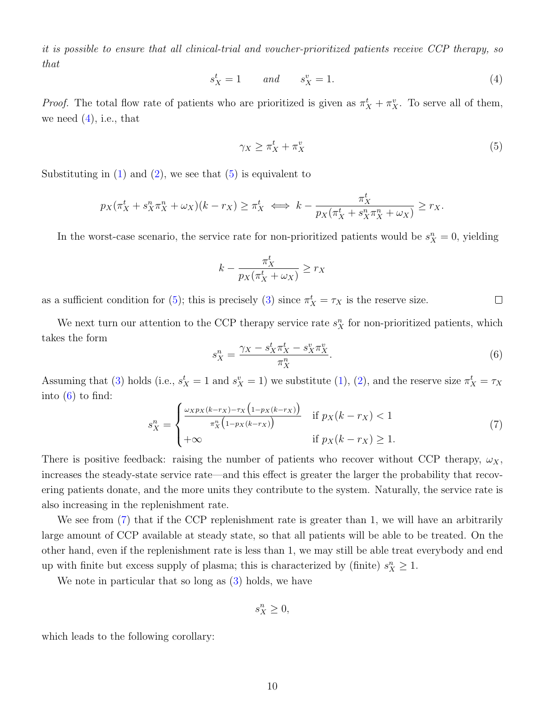it is possible to ensure that all clinical-trial and voucher-prioritized patients receive CCP therapy, so that

<span id="page-9-0"></span>
$$
s_X^t = 1 \qquad and \qquad s_X^v = 1. \tag{4}
$$

*Proof.* The total flow rate of patients who are prioritized is given as  $\pi_X^t + \pi_X^v$ . To serve all of them, we need  $(4)$ , i.e., that

<span id="page-9-1"></span>
$$
\gamma_X \ge \pi_X^t + \pi_X^v \tag{5}
$$

Substituting in  $(1)$  and  $(2)$ , we see that  $(5)$  is equivalent to

$$
p_X(\pi_X^t + s_X^n \pi_X^n + \omega_X)(k - r_X) \ge \pi_X^t \iff k - \frac{\pi_X^t}{p_X(\pi_X^t + s_X^n \pi_X^n + \omega_X)} \ge r_X.
$$

In the worst-case scenario, the service rate for non-prioritized patients would be  $s_X^n = 0$ , yielding

$$
k - \frac{\pi_X^t}{p_X(\pi_X^t + \omega_X)} \ge r_X
$$

as a sufficient condition for [\(5\)](#page-9-1); this is precisely [\(3\)](#page-8-5) since  $\pi_X^t = \tau_X$  is the reserve size.  $\Box$ 

We next turn our attention to the CCP therapy service rate  $s_X^n$  for non-prioritized patients, which takes the form

<span id="page-9-2"></span>
$$
s_X^n = \frac{\gamma_X - s_X^t \pi_X^t - s_X^n \pi_X^n}{\pi_X^n}.
$$
\n
$$
(6)
$$

Assuming that [\(3\)](#page-8-5) holds (i.e.,  $s_X^t = 1$  and  $s_X^v = 1$ ) we substitute [\(1\)](#page-8-3), [\(2\)](#page-8-4), and the reserve size  $\pi_X^t = \tau_X$ into  $(6)$  to find:

<span id="page-9-3"></span>
$$
s_X^n = \begin{cases} \frac{\omega_X p_X(k - r_X) - \tau_X \left(1 - p_X(k - r_X)\right)}{\pi_X^n \left(1 - p_X(k - r_X)\right)} & \text{if } p_X(k - r_X) < 1\\ +\infty & \text{if } p_X(k - r_X) \ge 1. \end{cases} \tag{7}
$$

There is positive feedback: raising the number of patients who recover without CCP therapy,  $\omega_X$ , increases the steady-state service rate—and this effect is greater the larger the probability that recovering patients donate, and the more units they contribute to the system. Naturally, the service rate is also increasing in the replenishment rate.

We see from [\(7\)](#page-9-3) that if the CCP replenishment rate is greater than 1, we will have an arbitrarily large amount of CCP available at steady state, so that all patients will be able to be treated. On the other hand, even if the replenishment rate is less than 1, we may still be able treat everybody and end up with finite but excess supply of plasma; this is characterized by (finite)  $s_X^n \geq 1$ .

We note in particular that so long as  $(3)$  holds, we have

$$
s_X^n \geq 0,
$$

which leads to the following corollary: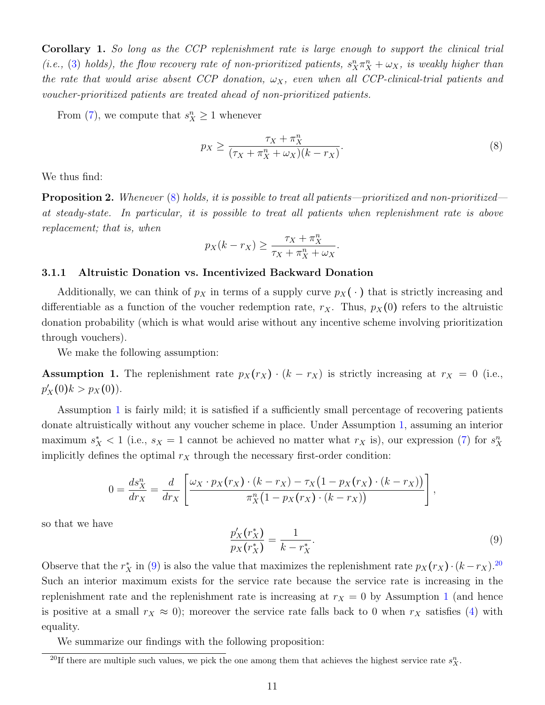Corollary 1. So long as the CCP replenishment rate is large enough to support the clinical trial (i.e., [\(3\)](#page-8-5) holds), the flow recovery rate of non-prioritized patients,  $s_X^n \pi_X^n + \omega_X$ , is weakly higher than the rate that would arise absent CCP donation,  $\omega_X$ , even when all CCP-clinical-trial patients and voucher-prioritized patients are treated ahead of non-prioritized patients.

From [\(7\)](#page-9-3), we compute that  $s_X^n \geq 1$  whenever

<span id="page-10-3"></span>
$$
p_X \ge \frac{\tau_X + \pi_X^n}{(\tau_X + \pi_X^n + \omega_X)(k - r_X)}.\tag{8}
$$

<span id="page-10-0"></span>We thus find:

**Proposition 2.** Whenever  $(8)$  holds, it is possible to treat all patients—prioritized and non-prioritized at steady-state. In particular, it is possible to treat all patients when replenishment rate is above replacement; that is, when

$$
p_X(k - r_X) \ge \frac{\tau_X + \pi_X^n}{\tau_X + \pi_X^n + \omega_X}.
$$

#### 3.1.1 Altruistic Donation vs. Incentivized Backward Donation

Additionally, we can think of  $p<sub>X</sub>$  in terms of a supply curve  $p<sub>X</sub>(.)$  that is strictly increasing and differentiable as a function of the voucher redemption rate,  $r_X$ . Thus,  $p_X(0)$  refers to the altruistic donation probability (which is what would arise without any incentive scheme involving prioritization through vouchers).

We make the following assumption:

<span id="page-10-2"></span>**Assumption 1.** The replenishment rate  $p_X(r_X) \cdot (k - r_X)$  is strictly increasing at  $r_X = 0$  (i.e.,  $p'_X(0)k > p_X(0)$ .

Assumption [1](#page-10-2) is fairly mild; it is satisfied if a sufficiently small percentage of recovering patients donate altruistically without any voucher scheme in place. Under Assumption [1,](#page-10-2) assuming an interior maximum  $s_X^*$  < 1 (i.e.,  $s_X = 1$  cannot be achieved no matter what  $r_X$  is), our expression [\(7\)](#page-9-3) for  $s_X^n$ implicitly defines the optimal  $r<sub>X</sub>$  through the necessary first-order condition:

$$
0 = \frac{ds_X^n}{dr_X} = \frac{d}{dr_X} \left[ \frac{\omega_X \cdot p_X(r_X) \cdot (k - r_X) - \tau_X(1 - p_X(r_X) \cdot (k - r_X))}{\pi_X^n (1 - p_X(r_X) \cdot (k - r_X))} \right],
$$

so that we have

<span id="page-10-4"></span>
$$
\frac{p_X'(r_X^*)}{p_X(r_X^*)} = \frac{1}{k - r_X^*}.\tag{9}
$$

Observe that the  $r_X^*$  in [\(9\)](#page-10-4) is also the value that maximizes the replenishment rate  $p_X(r_X) \cdot (k - r_X)^{20}$  $p_X(r_X) \cdot (k - r_X)^{20}$  $p_X(r_X) \cdot (k - r_X)^{20}$ Such an interior maximum exists for the service rate because the service rate is increasing in the replenishment rate and the replenishment rate is increasing at  $r_X = 0$  by Assumption [1](#page-10-2) (and hence is positive at a small  $r_X \approx 0$ ); moreover the service rate falls back to 0 when  $r_X$  satisfies [\(4\)](#page-9-0) with equality.

We summarize our findings with the following proposition:

<span id="page-10-5"></span><span id="page-10-1"></span><sup>&</sup>lt;sup>20</sup>If there are multiple such values, we pick the one among them that achieves the highest service rate  $s_X^n$ .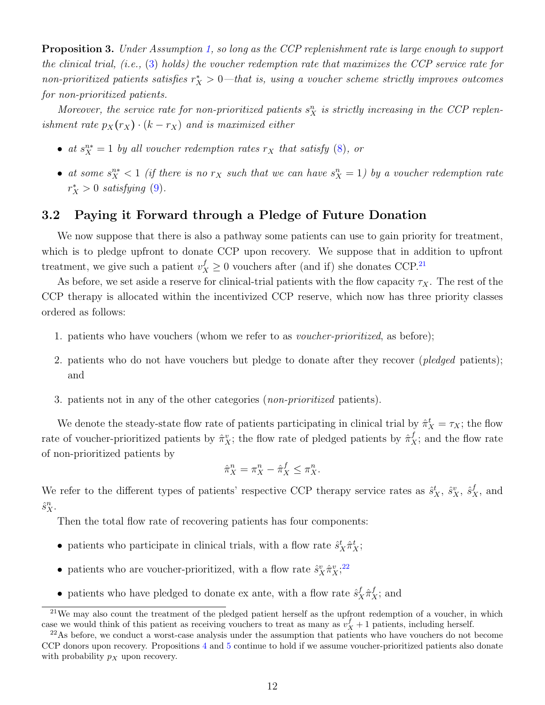**Proposition 3.** Under Assumption [1,](#page-10-2) so long as the CCP replenishment rate is large enough to support the clinical trial, (i.e., [\(3\)](#page-8-5) holds) the voucher redemption rate that maximizes the CCP service rate for non-prioritized patients satisfies  $r_X^* > 0$ —that is, using a voucher scheme strictly improves outcomes for non-prioritized patients.

Moreover, the service rate for non-prioritized patients  $s_X^n$  is strictly increasing in the CCP replenishment rate  $p_X(r_X) \cdot (k - r_X)$  and is maximized either

- at  $s_X^{n*} = 1$  by all voucher redemption rates  $r_X$  that satisfy [\(8\)](#page-10-3), or
- at some  $s_X^{n*} < 1$  (if there is no  $r_X$  such that we can have  $s_X^n = 1$ ) by a voucher redemption rate  $r_X^* > 0$  satisfying [\(9\)](#page-10-4).

#### 3.2 Paying it Forward through a Pledge of Future Donation

We now suppose that there is also a pathway some patients can use to gain priority for treatment, which is to pledge upfront to donate CCP upon recovery. We suppose that in addition to upfront treatment, we give such a patient  $v_X^f \geq 0$  vouchers after (and if) she donates CCP.<sup>[21](#page-11-0)</sup>

As before, we set aside a reserve for clinical-trial patients with the flow capacity  $\tau_X$ . The rest of the CCP therapy is allocated within the incentivized CCP reserve, which now has three priority classes ordered as follows:

- 1. patients who have vouchers (whom we refer to as voucher-prioritized, as before);
- 2. patients who do not have vouchers but pledge to donate after they recover (*pledged* patients); and
- 3. patients not in any of the other categories (non-prioritized patients).

We denote the steady-state flow rate of patients participating in clinical trial by  $\hat{\pi}_X^t = \tau_X$ ; the flow rate of voucher-prioritized patients by  $\hat{\pi}_X^v$ ; the flow rate of pledged patients by  $\hat{\pi}_X^f$ ; and the flow rate of non-prioritized patients by

$$
\hat{\pi}_X^n = \pi_X^n - \hat{\pi}_X^f \le \pi_X^n.
$$

We refer to the different types of patients' respective CCP therapy service rates as  $\hat{s}_X^t$ ,  $\hat{s}_X^v$ ,  $\hat{s}_X^f$ , and  $\hat{s}_X^n$ .

Then the total flow rate of recovering patients has four components:

- patients who participate in clinical trials, with a flow rate  $\hat{s}_X^t \hat{\pi}_X^t$ ;
- patients who are voucher-prioritized, with a flow rate  $\hat{s}_X^v \hat{\pi}_X^v$ ;<sup>[22](#page-11-1)</sup>
- patients who have pledged to donate ex ante, with a flow rate  $\hat{s}_X^f \hat{\pi}_X^f$ ; and

<span id="page-11-0"></span><sup>&</sup>lt;sup>21</sup>We may also count the treatment of the pledged patient herself as the upfront redemption of a voucher, in which case we would think of this patient as receiving vouchers to treat as many as  $v_X^f + 1$  patients, including herself.

<span id="page-11-1"></span> $^{22}$ As before, we conduct a worst-case analysis under the assumption that patients who have vouchers do not become CCP donors upon recovery. Propositions [4](#page-12-0) and [5](#page-13-0) continue to hold if we assume voucher-prioritized patients also donate with probability  $p<sub>X</sub>$  upon recovery.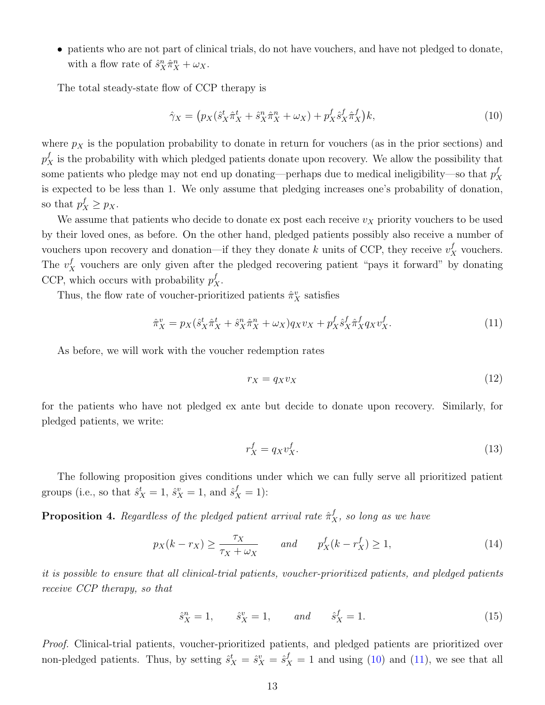• patients who are not part of clinical trials, do not have vouchers, and have not pledged to donate, with a flow rate of  $\hat{s}_X^n \hat{\pi}_X^n + \omega_X$ .

The total steady-state flow of CCP therapy is

<span id="page-12-1"></span>
$$
\hat{\gamma}_X = \left( p_X(\hat{s}_X^t \hat{\pi}_X^t + \hat{s}_X^n \hat{\pi}_X^n + \omega_X) + p_X^f \hat{s}_X^f \hat{\pi}_X^f \right) k,\tag{10}
$$

where  $p_X$  is the population probability to donate in return for vouchers (as in the prior sections) and  $p_X^f$  is the probability with which pledged patients donate upon recovery. We allow the possibility that some patients who pledge may not end up donating—perhaps due to medical ineligibility—so that  $p_2^f$ X is expected to be less than 1. We only assume that pledging increases one's probability of donation, so that  $p_X^f \geq p_X$ .

We assume that patients who decide to donate ex post each receive  $v_X$  priority vouchers to be used by their loved ones, as before. On the other hand, pledged patients possibly also receive a number of vouchers upon recovery and donation—if they they donate k units of CCP, they receive  $v_X^f$  vouchers. The  $v_X^f$  vouchers are only given after the pledged recovering patient "pays it forward" by donating CCP, which occurs with probability  $p_X^f$ .

Thus, the flow rate of voucher-prioritized patients  $\hat{\pi}_X^v$  satisfies

<span id="page-12-2"></span>
$$
\hat{\pi}_X^v = p_X(\hat{s}_X^t \hat{\pi}_X^t + \hat{s}_X^n \hat{\pi}_X^n + \omega_X) q_X v_X + p_X^f \hat{s}_X^f \hat{\pi}_X^f q_X v_X^f. \tag{11}
$$

As before, we will work with the voucher redemption rates

$$
r_X = q_X v_X \tag{12}
$$

for the patients who have not pledged ex ante but decide to donate upon recovery. Similarly, for pledged patients, we write:

$$
r_X^f = q_X v_X^f. \tag{13}
$$

The following proposition gives conditions under which we can fully serve all prioritized patient groups (i.e., so that  $\hat{s}_X^t = 1$ ,  $\hat{s}_X^v = 1$ , and  $\hat{s}_X^f = 1$ ):

<span id="page-12-0"></span>**Proposition 4.** Regardless of the pledged patient arrival rate  $\hat{\pi}_X^f$ , so long as we have

<span id="page-12-3"></span>
$$
p_X(k - r_X) \ge \frac{\tau_X}{\tau_X + \omega_X} \qquad \text{and} \qquad p_X^f(k - r_X^f) \ge 1,\tag{14}
$$

it is possible to ensure that all clinical-trial patients, voucher-prioritized patients, and pledged patients receive CCP therapy, so that

$$
\hat{s}_X^n = 1,
$$
  $\hat{s}_X^v = 1,$  and  $\hat{s}_X^f = 1.$  (15)

Proof. Clinical-trial patients, voucher-prioritized patients, and pledged patients are prioritized over non-pledged patients. Thus, by setting  $\hat{s}_X^t = \hat{s}_X^v = \hat{s}_X^f = 1$  and using [\(10\)](#page-12-1) and [\(11\)](#page-12-2), we see that all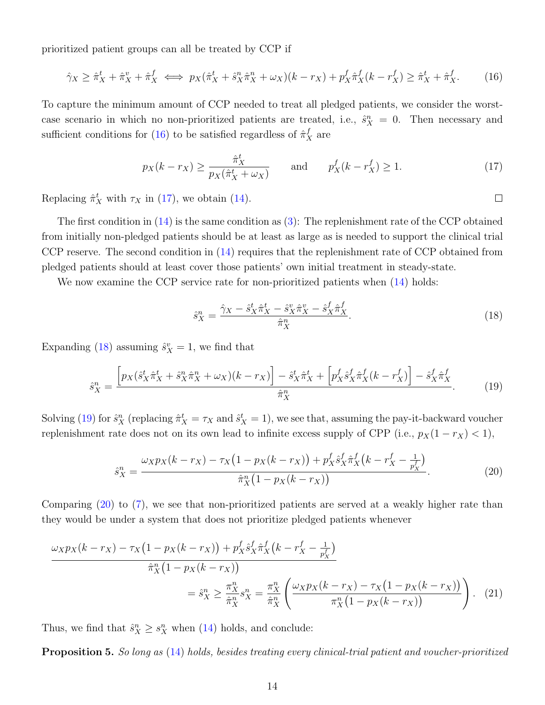prioritized patient groups can all be treated by CCP if

<span id="page-13-1"></span>
$$
\hat{\gamma}_X \ge \hat{\pi}_X^t + \hat{\pi}_X^v + \hat{\pi}_X^f \iff p_X(\hat{\pi}_X^t + \hat{s}_X^n \hat{\pi}_X^n + \omega_X)(k - r_X) + p_X^f \hat{\pi}_X^f(k - r_X^f) \ge \hat{\pi}_X^t + \hat{\pi}_X^f. \tag{16}
$$

To capture the minimum amount of CCP needed to treat all pledged patients, we consider the worstcase scenario in which no non-prioritized patients are treated, i.e.,  $\hat{s}_X^n = 0$ . Then necessary and sufficient conditions for [\(16\)](#page-13-1) to be satisfied regardless of  $\hat{\pi}_X^f$  are

<span id="page-13-2"></span>
$$
p_X(k - r_X) \ge \frac{\hat{\pi}_X^t}{p_X(\hat{\pi}_X^t + \omega_X)} \quad \text{and} \quad p_X^f(k - r_X^f) \ge 1. \tag{17}
$$

Replacing  $\hat{\pi}_X^t$  with  $\tau_X$  in [\(17\)](#page-13-2), we obtain [\(14\)](#page-12-3).

The first condition in  $(14)$  is the same condition as  $(3)$ : The replenishment rate of the CCP obtained from initially non-pledged patients should be at least as large as is needed to support the clinical trial CCP reserve. The second condition in [\(14\)](#page-12-3) requires that the replenishment rate of CCP obtained from pledged patients should at least cover those patients' own initial treatment in steady-state.

We now examine the CCP service rate for non-prioritized patients when  $(14)$  holds:

<span id="page-13-3"></span>
$$
\hat{s}_X^n = \frac{\hat{\gamma}_X - \hat{s}_X^t \hat{\pi}_X^t - \hat{s}_X^v \hat{\pi}_X^v - \hat{s}_X^f \hat{\pi}_X^f}{\hat{\pi}_X^n}.
$$
\n(18)

Expanding [\(18\)](#page-13-3) assuming  $\hat{s}_X^v = 1$ , we find that

$$
\hat{s}_X^n = \frac{\left[p_X(\hat{s}_X^t \hat{\pi}_X^t + \hat{s}_X^n \hat{\pi}_X^n + \omega_X)(k - r_X)\right] - \hat{s}_X^t \hat{\pi}_X^t + \left[p_X^f \hat{s}_X^f \hat{\pi}_X^f(k - r_X^f)\right] - \hat{s}_X^f \hat{\pi}_X^f}{\hat{\pi}_X^n}.
$$
\n(19)

Solving [\(19\)](#page-13-4) for  $\hat{s}_X^n$  (replacing  $\hat{\pi}_X^t = \tau_X$  and  $\hat{s}_X^t = 1$ ), we see that, assuming the pay-it-backward voucher replenishment rate does not on its own lead to infinite excess supply of CPP (i.e.,  $p_X(1 - r_X) < 1$ ),

<span id="page-13-5"></span>
$$
\hat{s}_X^n = \frac{\omega_X p_X(k - r_X) - \tau_X (1 - p_X(k - r_X)) + p_X^f \hat{s}_X^f \hat{\pi}_X^f (k - r_X^f - \frac{1}{p_X^f})}{\hat{\pi}_X^n (1 - p_X(k - r_X))}.
$$
\n(20)

Comparing [\(20\)](#page-13-5) to [\(7\)](#page-9-3), we see that non-prioritized patients are served at a weakly higher rate than they would be under a system that does not prioritize pledged patients whenever

$$
\frac{\omega_{X}p_{X}(k-r_{X}) - \tau_{X}(1-p_{X}(k-r_{X})) + p_{X}^{f}\hat{s}_{X}^{f}\hat{\pi}_{X}^{f}(k-r_{X}^{f} - \frac{1}{p_{X}^{f}})}{\hat{\pi}_{X}^{n}(1-p_{X}(k-r_{X}))}
$$
\n
$$
= \hat{s}_{X}^{n} \geq \frac{\pi_{X}^{n}}{\hat{\pi}_{X}^{n}}s_{X}^{n} = \frac{\pi_{X}^{n}}{\hat{\pi}_{X}^{n}}\left(\frac{\omega_{X}p_{X}(k-r_{X}) - \tau_{X}(1-p_{X}(k-r_{X}))}{\pi_{X}^{n}(1-p_{X}(k-r_{X}))}\right). \tag{21}
$$

<span id="page-13-0"></span>Thus, we find that  $\hat{s}_X^n \geq s_X^n$  when [\(14\)](#page-12-3) holds, and conclude:

**Proposition 5.** So long as [\(14\)](#page-12-3) holds, besides treating every clinical-trial patient and voucher-prioritized

<span id="page-13-4"></span> $\Box$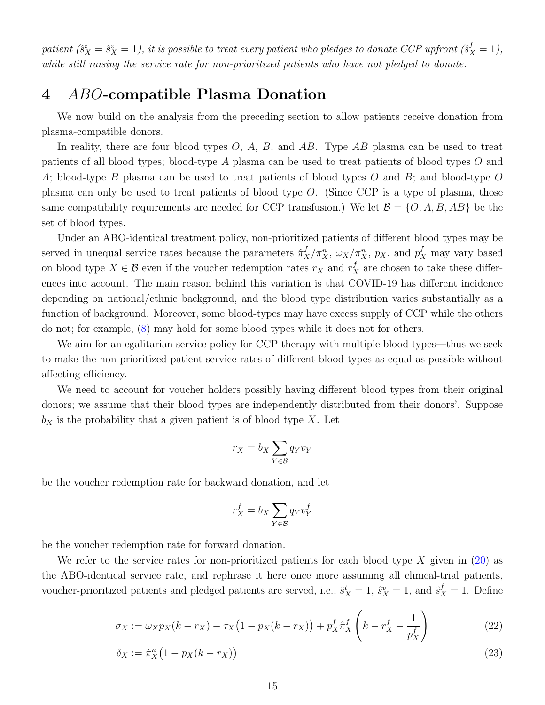patient  $(\hat{s}_X^t = \hat{s}_X^v = 1)$ , it is possible to treat every patient who pledges to donate CCP upfront  $(\hat{s}_X^f = 1)$ , while still raising the service rate for non-prioritized patients who have not pledged to donate.

## <span id="page-14-0"></span>4 ABO-compatible Plasma Donation

We now build on the analysis from the preceding section to allow patients receive donation from plasma-compatible donors.

In reality, there are four blood types  $O, A, B$ , and  $AB$ . Type  $AB$  plasma can be used to treat patients of all blood types; blood-type A plasma can be used to treat patients of blood types O and A; blood-type B plasma can be used to treat patients of blood types O and B; and blood-type O plasma can only be used to treat patients of blood type O. (Since CCP is a type of plasma, those same compatibility requirements are needed for CCP transfusion.) We let  $\mathcal{B} = \{O, A, B, AB\}$  be the set of blood types.

Under an ABO-identical treatment policy, non-prioritized patients of different blood types may be served in unequal service rates because the parameters  $\hat{\pi}_X^f/\pi_X^n$ ,  $\omega_X/\pi_X^n$ ,  $p_X$ , and  $p_X^f$  may vary based on blood type  $X \in \mathcal{B}$  even if the voucher redemption rates  $r_X$  and  $r_X^f$  are chosen to take these differences into account. The main reason behind this variation is that COVID-19 has different incidence depending on national/ethnic background, and the blood type distribution varies substantially as a function of background. Moreover, some blood-types may have excess supply of CCP while the others do not; for example, [\(8\)](#page-10-3) may hold for some blood types while it does not for others.

We aim for an egalitarian service policy for CCP therapy with multiple blood types—thus we seek to make the non-prioritized patient service rates of different blood types as equal as possible without affecting efficiency.

We need to account for voucher holders possibly having different blood types from their original donors; we assume that their blood types are independently distributed from their donors'. Suppose  $b_X$  is the probability that a given patient is of blood type X. Let

$$
r_X = b_X \sum_{Y \in \mathcal{B}} q_Y v_Y
$$

be the voucher redemption rate for backward donation, and let

<span id="page-14-2"></span><span id="page-14-1"></span>
$$
r_X^f = b_X \sum_{Y \in \mathcal{B}} q_Y v_Y^f
$$

be the voucher redemption rate for forward donation.

We refer to the service rates for non-prioritized patients for each blood type X given in  $(20)$  as the ABO-identical service rate, and rephrase it here once more assuming all clinical-trial patients, voucher-prioritized patients and pledged patients are served, i.e.,  $\hat{s}_X^t = 1$ ,  $\hat{s}_X^v = 1$ , and  $\hat{s}_X^f = 1$ . Define

$$
\sigma_X := \omega_X p_X(k - r_X) - \tau_X (1 - p_X(k - r_X)) + p_X^f \hat{\pi}_X^f \left( k - r_X^f - \frac{1}{p_X^f} \right)
$$
(22)

$$
\delta_X := \hat{\pi}_X^n \left( 1 - p_X(k - r_X) \right) \tag{23}
$$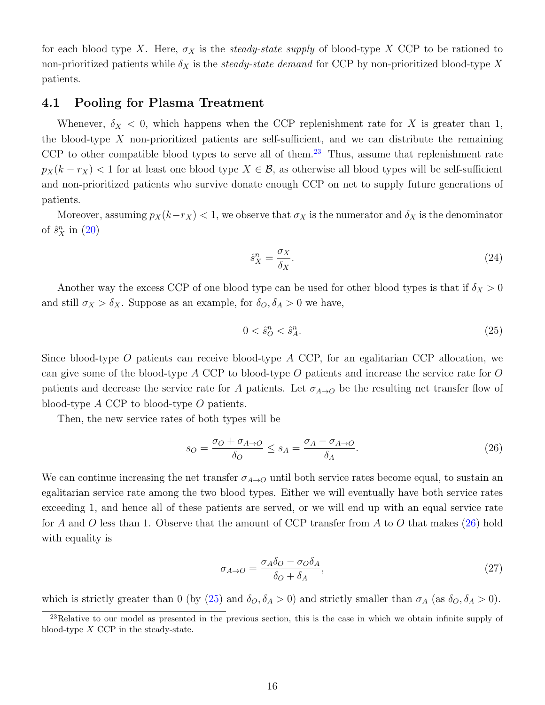for each blood type X. Here,  $\sigma_X$  is the *steady-state supply* of blood-type X CCP to be rationed to non-prioritized patients while  $\delta_X$  is the steady-state demand for CCP by non-prioritized blood-type X patients.

#### 4.1 Pooling for Plasma Treatment

Whenever,  $\delta_X$  < 0, which happens when the CCP replenishment rate for X is greater than 1, the blood-type  $X$  non-prioritized patients are self-sufficient, and we can distribute the remaining CCP to other compatible blood types to serve all of them.<sup>[23](#page-15-0)</sup> Thus, assume that replenishment rate  $p_X(k - r_X)$  < 1 for at least one blood type  $X \in \mathcal{B}$ , as otherwise all blood types will be self-sufficient and non-prioritized patients who survive donate enough CCP on net to supply future generations of patients.

Moreover, assuming  $p_X(k-r_X) < 1$ , we observe that  $\sigma_X$  is the numerator and  $\delta_X$  is the denominator of  $\hat{s}_X^n$  in  $(20)$ 

<span id="page-15-3"></span>
$$
\hat{s}_X^n = \frac{\sigma_X}{\delta_X}.\tag{24}
$$

Another way the excess CCP of one blood type can be used for other blood types is that if  $\delta_X > 0$ and still  $\sigma_X > \delta_X$ . Suppose as an example, for  $\delta_O, \delta_A > 0$  we have,

<span id="page-15-2"></span><span id="page-15-1"></span>
$$
0 < \hat{s}_O^n < \hat{s}_A^n. \tag{25}
$$

Since blood-type O patients can receive blood-type  $A$  CCP, for an egalitarian CCP allocation, we can give some of the blood-type A CCP to blood-type O patients and increase the service rate for O patients and decrease the service rate for A patients. Let  $\sigma_{A\rightarrow O}$  be the resulting net transfer flow of blood-type A CCP to blood-type O patients.

Then, the new service rates of both types will be

$$
s_O = \frac{\sigma_O + \sigma_{A \to O}}{\delta_O} \le s_A = \frac{\sigma_A - \sigma_{A \to O}}{\delta_A}.
$$
\n(26)

We can continue increasing the net transfer  $\sigma_{A\rightarrow O}$  until both service rates become equal, to sustain an egalitarian service rate among the two blood types. Either we will eventually have both service rates exceeding 1, and hence all of these patients are served, or we will end up with an equal service rate for A and O less than 1. Observe that the amount of CCP transfer from A to O that makes  $(26)$  hold with equality is

$$
\sigma_{A \to O} = \frac{\sigma_A \delta_O - \sigma_O \delta_A}{\delta_O + \delta_A},\tag{27}
$$

which is strictly greater than 0 (by [\(25\)](#page-15-2) and  $\delta_O, \delta_A > 0$ ) and strictly smaller than  $\sigma_A$  (as  $\delta_O, \delta_A > 0$ ).

<span id="page-15-0"></span> $^{23}$ Relative to our model as presented in the previous section, this is the case in which we obtain infinite supply of blood-type X CCP in the steady-state.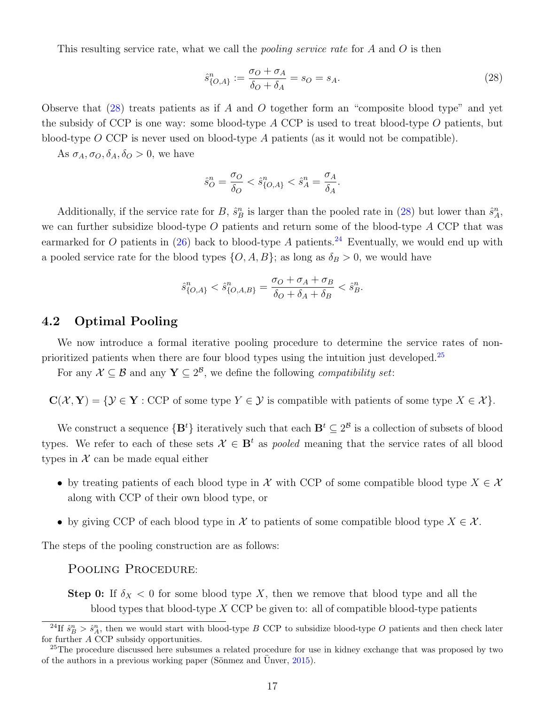This resulting service rate, what we call the *pooling service rate* for  $A$  and  $O$  is then

<span id="page-16-0"></span>
$$
\hat{s}_{\{O,A\}}^n := \frac{\sigma_O + \sigma_A}{\delta_O + \delta_A} = s_O = s_A.
$$
\n(28)

Observe that  $(28)$  treats patients as if A and O together form an "composite blood type" and yet the subsidy of CCP is one way: some blood-type  $A$  CCP is used to treat blood-type  $O$  patients, but blood-type  $O$  CCP is never used on blood-type  $A$  patients (as it would not be compatible).

As  $\sigma_A$ ,  $\sigma_O$ ,  $\delta_A$ ,  $\delta_O > 0$ , we have

$$
\hat{s}_O^n = \frac{\sigma_O}{\delta_O} < \hat{s}_{\{O,A\}}^n < \hat{s}_A^n = \frac{\sigma_A}{\delta_A}.
$$

Additionally, if the service rate for B,  $\hat{s}_B^n$  is larger than the pooled rate in [\(28\)](#page-16-0) but lower than  $\hat{s}_A^n$ , we can further subsidize blood-type  $O$  patients and return some of the blood-type  $A$  CCP that was earmarked for O patients in [\(26\)](#page-15-1) back to blood-type A patients.<sup>[24](#page-16-1)</sup> Eventually, we would end up with a pooled service rate for the blood types  $\{O, A, B\}$ ; as long as  $\delta_B > 0$ , we would have

$$
\hat{s}_{\{O,A\}}^n < \hat{s}_{\{O,A,B\}}^n = \frac{\sigma_O + \sigma_A + \sigma_B}{\delta_O + \delta_A + \delta_B} < \hat{s}_B^n.
$$

#### 4.2 Optimal Pooling

We now introduce a formal iterative pooling procedure to determine the service rates of non-prioritized patients when there are four blood types using the intuition just developed.<sup>[25](#page-16-2)</sup>

For any  $\mathcal{X} \subseteq \mathcal{B}$  and any  $\mathbf{Y} \subseteq 2^{\mathcal{B}}$ , we define the following *compatibility set*:

 $C(\mathcal{X}, Y) = \{ \mathcal{Y} \in Y : \text{CCP of some type } Y \in \mathcal{Y} \text{ is compatible with patients of some type } X \in \mathcal{X} \}.$ 

We construct a sequence  $\{B^t\}$  iteratively such that each  $B^t \subseteq 2^B$  is a collection of subsets of blood types. We refer to each of these sets  $\mathcal{X} \in \mathbf{B}^t$  as *pooled* meaning that the service rates of all blood types in  $\mathcal X$  can be made equal either

- by treating patients of each blood type in X with CCP of some compatible blood type  $X \in \mathcal{X}$ along with CCP of their own blood type, or
- by giving CCP of each blood type in X to patients of some compatible blood type  $X \in \mathcal{X}$ .

The steps of the pooling construction are as follows:

#### POOLING PROCEDURE:

Step 0: If  $\delta_X$  < 0 for some blood type X, then we remove that blood type and all the blood types that blood-type  $X$  CCP be given to: all of compatible blood-type patients

<span id="page-16-1"></span><sup>&</sup>lt;sup>24</sup>If  $\hat{s}_B^n > \hat{s}_A^n$ , then we would start with blood-type B CCP to subsidize blood-type O patients and then check later for further A CCP subsidy opportunities.

<span id="page-16-2"></span><sup>&</sup>lt;sup>25</sup>The procedure discussed here subsumes a related procedure for use in kidney exchange that was proposed by two of the authors in a previous working paper (Sönmez and Unver,  $2015$ ).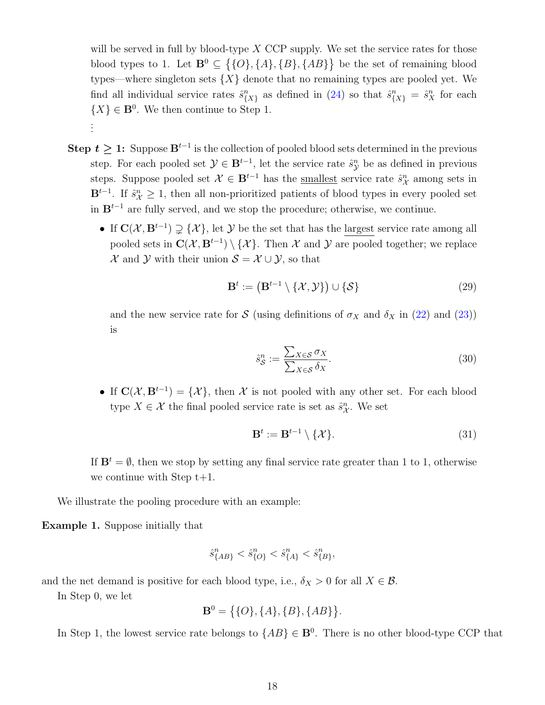will be served in full by blood-type  $X$  CCP supply. We set the service rates for those blood types to 1. Let  $\mathbf{B}^0 \subseteq \{ \{O\}, \{A\}, \{B\}, \{AB\} \}$  be the set of remaining blood types—where singleton sets  $\{X\}$  denote that no remaining types are pooled yet. We find all individual service rates  $\hat{s}_{\{X\}}^n$  as defined in [\(24\)](#page-15-3) so that  $\hat{s}_{\{X\}}^n = \hat{s}_X^n$  for each  $\{X\} \in \mathbf{B}^0$ . We then continue to Step 1. . . .

- Step  $t \geq 1$ : Suppose  $B^{t-1}$  is the collection of pooled blood sets determined in the previous step. For each pooled set  $\mathcal{Y} \in \mathbf{B}^{t-1}$ , let the service rate  $\hat{s}_{\mathcal{Y}}^n$  be as defined in previous steps. Suppose pooled set  $\mathcal{X} \in \mathbf{B}^{t-1}$  has the <u>smallest</u> service rate  $\hat{s}_{\mathcal{X}}^n$  among sets in  $\mathbf{B}^{t-1}$ . If  $\hat{s}_{\mathcal{X}}^n \geq 1$ , then all non-prioritized patients of blood types in every pooled set in  $\mathbf{B}^{t-1}$  are fully served, and we stop the procedure; otherwise, we continue.
	- If  $\mathbf{C}(\mathcal{X}, \mathbf{B}^{t-1}) \supsetneq {\mathcal{X}}$ , let Y be the set that has the largest service rate among all pooled sets in  $\mathbf{C}(\mathcal{X}, \mathbf{B}^{t-1}) \setminus \{ \mathcal{X} \}.$  Then X and Y are pooled together; we replace  $\mathcal X$  and  $\mathcal Y$  with their union  $\mathcal S = \mathcal X \cup \mathcal Y$ , so that

$$
\mathbf{B}^t := \left(\mathbf{B}^{t-1} \setminus \{\mathcal{X}, \mathcal{Y}\}\right) \cup \{\mathcal{S}\}\tag{29}
$$

and the new service rate for S (using definitions of  $\sigma_X$  and  $\delta_X$  in [\(22\)](#page-14-1) and [\(23\)](#page-14-2)) is

$$
\hat{s}_{\mathcal{S}}^n := \frac{\sum_{X \in \mathcal{S}} \sigma_X}{\sum_{X \in \mathcal{S}} \delta_X}.
$$
\n(30)

• If  $\mathbf{C}(\mathcal{X}, \mathbf{B}^{t-1}) = \{\mathcal{X}\}\$ , then X is not pooled with any other set. For each blood type  $X \in \mathcal{X}$  the final pooled service rate is set as  $\hat{s}_{\mathcal{X}}^n$ . We set

$$
\mathbf{B}^t := \mathbf{B}^{t-1} \setminus \{ \mathcal{X} \}. \tag{31}
$$

If  $\mathbf{B}^t = \emptyset$ , then we stop by setting any final service rate greater than 1 to 1, otherwise we continue with Step  $t+1$ .

We illustrate the pooling procedure with an example:

Example 1. Suppose initially that

$$
\hat{s}^n_{\{AB\}} < \hat{s}^n_{\{O\}} < \hat{s}^n_{\{A\}} < \hat{s}^n_{\{B\}},
$$

and the net demand is positive for each blood type, i.e.,  $\delta_X > 0$  for all  $X \in \mathcal{B}$ .

In Step 0, we let

$$
\mathbf{B}^0 = \{ \{O\}, \{A\}, \{B\}, \{AB\} \}.
$$

In Step 1, the lowest service rate belongs to  $\{AB\} \in \mathbf{B}^0$ . There is no other blood-type CCP that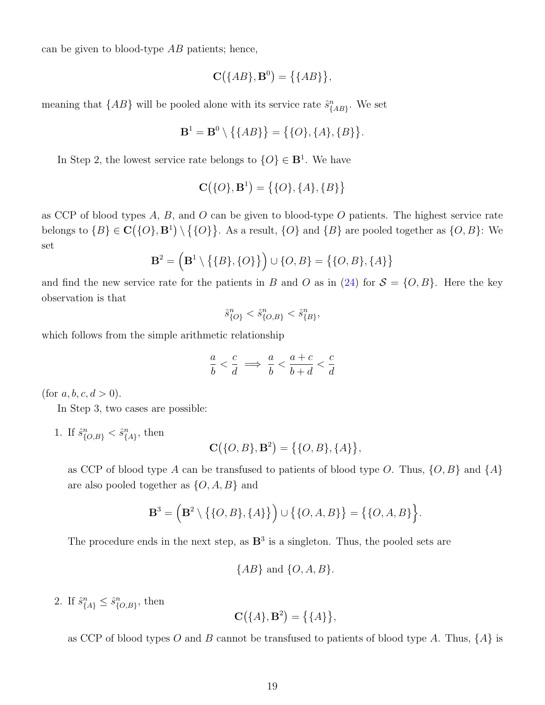can be given to blood-type  $AB$  patients; hence,

$$
\mathbf{C}(\{AB\},\mathbf{B}^0)=\big\{\{AB\}\big\},\
$$

meaning that  $\{AB\}$  will be pooled alone with its service rate  $\hat{s}^n_{\{AB\}}$ . We set

$$
\mathbf{B}^1 = \mathbf{B}^0 \setminus \{ \{AB\} \} = \{ \{O\}, \{A\}, \{B\} \}.
$$

In Step 2, the lowest service rate belongs to  $\{O\} \in \mathbf{B}^1$ . We have

$$
\mathbf{C}(\{O\}, \mathbf{B}^1) = \big\{\{O\}, \{A\}, \{B\}\big\}
$$

as CCP of blood types  $A, B$ , and  $O$  can be given to blood-type  $O$  patients. The highest service rate belongs to  $\{B\} \in \mathbf{C}(\{O\}, \mathbf{B}^1) \setminus \{\{O\}\}\$ . As a result,  $\{O\}$  and  $\{B\}$  are pooled together as  $\{O, B\}$ : We set

$$
\mathbf{B}^2 = (\mathbf{B}^1 \setminus \{ \{B\}, \{O\} \} ) \cup \{O, B\} = \{ \{O, B\}, \{A\} \}
$$

and find the new service rate for the patients in B and O as in [\(24\)](#page-15-3) for  $S = \{O, B\}$ . Here the key observation is that

$$
\hat{s}^n_{\{O\}} < \hat{s}^n_{\{O,B\}} < \hat{s}^n_{\{B\}},
$$

which follows from the simple arithmetic relationship

$$
\frac{a}{b} < \frac{c}{d} \implies \frac{a}{b} < \frac{a+c}{b+d} < \frac{c}{d}
$$

(for  $a, b, c, d > 0$ ).

In Step 3, two cases are possible:

1. If  $\hat{s}^n_{\{O,B\}} < \hat{s}^n_{\{A\}}$ , then

$$
\mathbf{C}(\{O, B\}, \mathbf{B}^2) = \{\{O, B\}, \{A\}\},\
$$

as CCP of blood type A can be transfused to patients of blood type O. Thus,  $\{O, B\}$  and  $\{A\}$ are also pooled together as  $\{O, A, B\}$  and

$$
\mathbf{B}^3 = \left( \mathbf{B}^2 \setminus \{ \{ O, B \}, \{ A \} \} \right) \cup \{ \{ O, A, B \} \} = \{ \{ O, A, B \} \}.
$$

The procedure ends in the next step, as  $\mathbb{B}^3$  is a singleton. Thus, the pooled sets are

$$
\{AB\} \text{ and } \{O, A, B\}.
$$

2. If  $\hat{s}_{\{A\}}^n \leq \hat{s}_{\{O,B\}}^n$ , then

$$
\mathbf{C}(\{A\}, \mathbf{B}^2) = \{\{A\}\},\
$$

as CCP of blood types O and B cannot be transfused to patients of blood type A. Thus,  $\{A\}$  is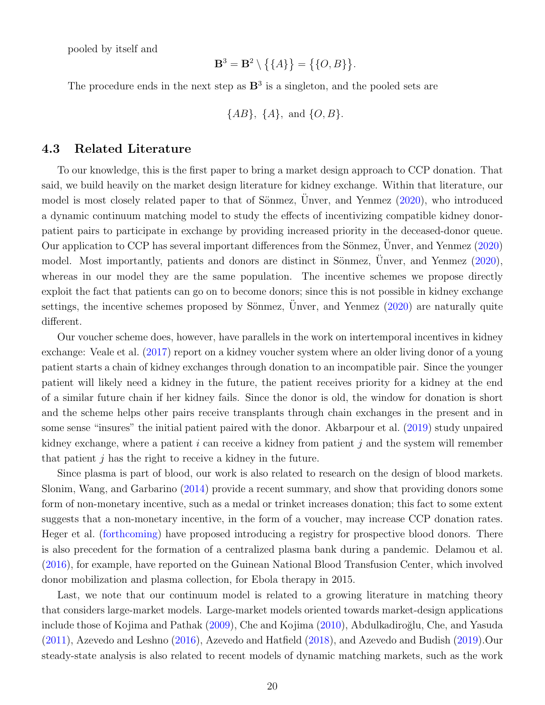pooled by itself and

$$
\mathbf{B}^3 = \mathbf{B}^2 \setminus \big\{ \{A\} \big\} = \big\{ \{O, B\} \big\}.
$$

The procedure ends in the next step as  $\mathbb{B}^3$  is a singleton, and the pooled sets are

$$
\{AB\}
$$
,  $\{A\}$ , and  $\{O, B\}$ .

#### 4.3 Related Literature

To our knowledge, this is the first paper to bring a market design approach to CCP donation. That said, we build heavily on the market design literature for kidney exchange. Within that literature, our model is most closely related paper to that of Sönmez, Unver, and Yenmez  $(2020)$  $(2020)$ , who introduced a dynamic continuum matching model to study the effects of incentivizing compatible kidney donorpatient pairs to participate in exchange by providing increased priority in the deceased-donor queue. Our application to CCP has several important differences from the Sönmez,  $\ddot{U}$ nver, and Yenmez ([2020\)](#page-23-13) model. Most importantly, patients and donors are distinct in Sönmez, Unver, and Yenmez  $(2020)$  $(2020)$ , whereas in our model they are the same population. The incentive schemes we propose directly exploit the fact that patients can go on to become donors; since this is not possible in kidney exchange settings, the incentive schemes proposed by Sönmez, Unver, and Yenmez  $(2020)$  $(2020)$  are naturally quite different.

Our voucher scheme does, however, have parallels in the work on intertemporal incentives in kidney exchange: Veale et al. [\(2017\)](#page-23-4) report on a kidney voucher system where an older living donor of a young patient starts a chain of kidney exchanges through donation to an incompatible pair. Since the younger patient will likely need a kidney in the future, the patient receives priority for a kidney at the end of a similar future chain if her kidney fails. Since the donor is old, the window for donation is short and the scheme helps other pairs receive transplants through chain exchanges in the present and in some sense "insures" the initial patient paired with the donor. Akbarpour et al. [\(2019\)](#page-21-6) study unpaired kidney exchange, where a patient  $i$  can receive a kidney from patient  $j$  and the system will remember that patient  $j$  has the right to receive a kidney in the future.

Since plasma is part of blood, our work is also related to research on the design of blood markets. Slonim, Wang, and Garbarino [\(2014\)](#page-23-6) provide a recent summary, and show that providing donors some form of non-monetary incentive, such as a medal or trinket increases donation; this fact to some extent suggests that a non-monetary incentive, in the form of a voucher, may increase CCP donation rates. Heger et al. [\(forthcoming\)](#page-22-13) have proposed introducing a registry for prospective blood donors. There is also precedent for the formation of a centralized plasma bank during a pandemic. Delamou et al. [\(2016\)](#page-21-7), for example, have reported on the Guinean National Blood Transfusion Center, which involved donor mobilization and plasma collection, for Ebola therapy in 2015.

Last, we note that our continuum model is related to a growing literature in matching theory that considers large-market models. Large-market models oriented towards market-design applications include those of Kojima and Pathak [\(2009\)](#page-22-14), Che and Kojima [\(2010\)](#page-21-8), Abdulkadiroğlu, Che, and Yasuda [\(2011\)](#page-21-9), Azevedo and Leshno [\(2016\)](#page-21-10), Azevedo and Hatfield [\(2018\)](#page-21-11), and Azevedo and Budish [\(2019\)](#page-21-12).Our steady-state analysis is also related to recent models of dynamic matching markets, such as the work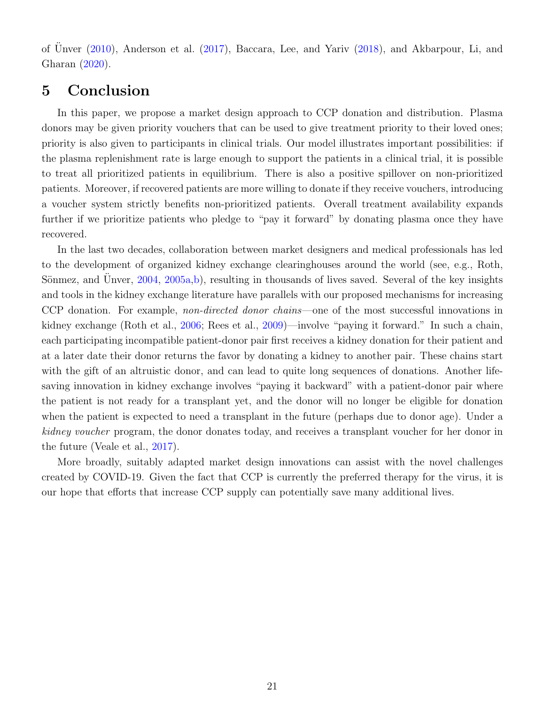of Ünver  $(2010)$  $(2010)$ , Anderson et al.  $(2017)$ , Baccara, Lee, and Yariv  $(2018)$ , and Akbarpour, Li, and Gharan [\(2020\)](#page-21-15).

## <span id="page-20-0"></span>5 Conclusion

In this paper, we propose a market design approach to CCP donation and distribution. Plasma donors may be given priority vouchers that can be used to give treatment priority to their loved ones; priority is also given to participants in clinical trials. Our model illustrates important possibilities: if the plasma replenishment rate is large enough to support the patients in a clinical trial, it is possible to treat all prioritized patients in equilibrium. There is also a positive spillover on non-prioritized patients. Moreover, if recovered patients are more willing to donate if they receive vouchers, introducing a voucher system strictly benefits non-prioritized patients. Overall treatment availability expands further if we prioritize patients who pledge to "pay it forward" by donating plasma once they have recovered.

In the last two decades, collaboration between market designers and medical professionals has led to the development of organized kidney exchange clearinghouses around the world (see, e.g., Roth, Sönmez, and Unver,  $2004$ ,  $2005a,b$  $2005a,b$ , resulting in thousands of lives saved. Several of the key insights and tools in the kidney exchange literature have parallels with our proposed mechanisms for increasing CCP donation. For example, non-directed donor chains—one of the most successful innovations in kidney exchange (Roth et al., [2006;](#page-23-5) Rees et al., [2009\)](#page-22-10)—involve "paying it forward." In such a chain, each participating incompatible patient-donor pair first receives a kidney donation for their patient and at a later date their donor returns the favor by donating a kidney to another pair. These chains start with the gift of an altruistic donor, and can lead to quite long sequences of donations. Another lifesaving innovation in kidney exchange involves "paying it backward" with a patient-donor pair where the patient is not ready for a transplant yet, and the donor will no longer be eligible for donation when the patient is expected to need a transplant in the future (perhaps due to donor age). Under a kidney voucher program, the donor donates today, and receives a transplant voucher for her donor in the future (Veale et al., [2017\)](#page-23-4).

More broadly, suitably adapted market design innovations can assist with the novel challenges created by COVID-19. Given the fact that CCP is currently the preferred therapy for the virus, it is our hope that efforts that increase CCP supply can potentially save many additional lives.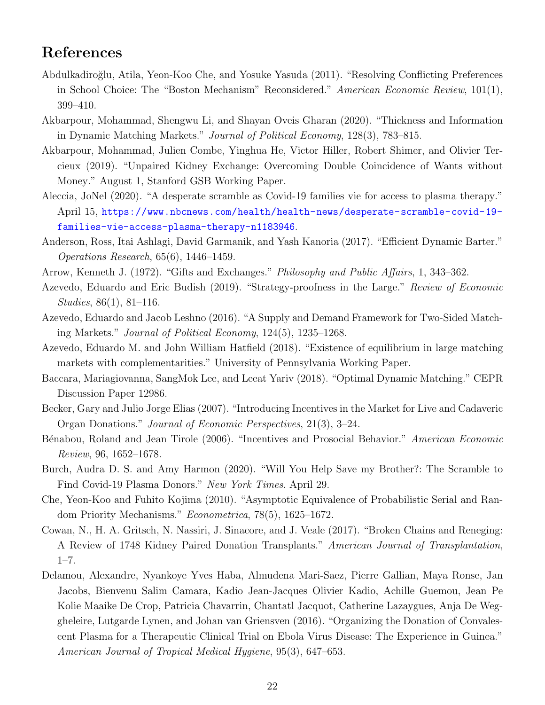## References

- <span id="page-21-9"></span>Abdulkadiro˘glu, Atila, Yeon-Koo Che, and Yosuke Yasuda (2011). "Resolving Conflicting Preferences in School Choice: The "Boston Mechanism" Reconsidered." American Economic Review, 101(1), 399–410.
- <span id="page-21-15"></span>Akbarpour, Mohammad, Shengwu Li, and Shayan Oveis Gharan (2020). "Thickness and Information in Dynamic Matching Markets." Journal of Political Economy, 128(3), 783–815.
- <span id="page-21-6"></span>Akbarpour, Mohammad, Julien Combe, Yinghua He, Victor Hiller, Robert Shimer, and Olivier Tercieux (2019). "Unpaired Kidney Exchange: Overcoming Double Coincidence of Wants without Money." August 1, Stanford GSB Working Paper.
- <span id="page-21-1"></span>Aleccia, JoNel (2020). "A desperate scramble as Covid-19 families vie for access to plasma therapy." April 15, [https://www.nbcnews.com/health/health-news/desperate-scramble-covid-19](https://www.nbcnews.com/health/health-news/desperate-scramble-covid-19-families-vie-access-plasma-therapy-n1183946) [families-vie-access-plasma-therapy-n1183946](https://www.nbcnews.com/health/health-news/desperate-scramble-covid-19-families-vie-access-plasma-therapy-n1183946).
- <span id="page-21-13"></span>Anderson, Ross, Itai Ashlagi, David Garmanik, and Yash Kanoria (2017). "Efficient Dynamic Barter." Operations Research, 65(6), 1446–1459.
- <span id="page-21-3"></span>Arrow, Kenneth J. (1972). "Gifts and Exchanges." Philosophy and Public Affairs, 1, 343–362.
- <span id="page-21-12"></span>Azevedo, Eduardo and Eric Budish (2019). "Strategy-proofness in the Large." Review of Economic Studies, 86(1), 81–116.
- <span id="page-21-10"></span>Azevedo, Eduardo and Jacob Leshno (2016). "A Supply and Demand Framework for Two-Sided Matching Markets." Journal of Political Economy, 124(5), 1235–1268.
- <span id="page-21-11"></span>Azevedo, Eduardo M. and John William Hatfield (2018). "Existence of equilibrium in large matching markets with complementarities." University of Pennsylvania Working Paper.
- <span id="page-21-14"></span>Baccara, Mariagiovanna, SangMok Lee, and Leeat Yariv (2018). "Optimal Dynamic Matching." CEPR Discussion Paper 12986.
- <span id="page-21-4"></span>Becker, Gary and Julio Jorge Elias (2007). "Introducing Incentives in the Market for Live and Cadaveric Organ Donations." Journal of Economic Perspectives, 21(3), 3–24.
- <span id="page-21-5"></span>Bénabou, Roland and Jean Tirole (2006). "Incentives and Prosocial Behavior." American Economic Review, 96, 1652–1678.
- <span id="page-21-0"></span>Burch, Audra D. S. and Amy Harmon (2020). "Will You Help Save my Brother?: The Scramble to Find Covid-19 Plasma Donors." New York Times. April 29.
- <span id="page-21-8"></span>Che, Yeon-Koo and Fuhito Kojima (2010). "Asymptotic Equivalence of Probabilistic Serial and Random Priority Mechanisms." Econometrica, 78(5), 1625–1672.
- <span id="page-21-2"></span>Cowan, N., H. A. Gritsch, N. Nassiri, J. Sinacore, and J. Veale (2017). "Broken Chains and Reneging: A Review of 1748 Kidney Paired Donation Transplants." American Journal of Transplantation,  $1 - 7$ .
- <span id="page-21-7"></span>Delamou, Alexandre, Nyankoye Yves Haba, Almudena Mari-Saez, Pierre Gallian, Maya Ronse, Jan Jacobs, Bienvenu Salim Camara, Kadio Jean-Jacques Olivier Kadio, Achille Guemou, Jean Pe Kolie Maaike De Crop, Patricia Chavarrin, Chantatl Jacquot, Catherine Lazaygues, Anja De Weggheleire, Lutgarde Lynen, and Johan van Griensven (2016). "Organizing the Donation of Convalescent Plasma for a Therapeutic Clinical Trial on Ebola Virus Disease: The Experience in Guinea." American Journal of Tropical Medical Hygiene, 95(3), 647–653.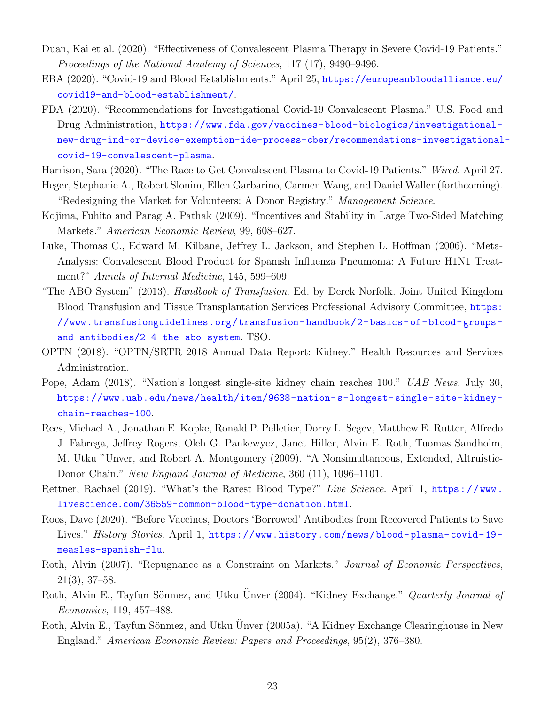- <span id="page-22-0"></span>Duan, Kai et al. (2020). "Effectiveness of Convalescent Plasma Therapy in Severe Covid-19 Patients." Proceedings of the National Academy of Sciences, 117 (17), 9490–9496.
- <span id="page-22-1"></span>EBA (2020). "Covid-19 and Blood Establishments." April 25, [https://europeanbloodalliance.eu/](https://europeanbloodalliance.eu/covid19-and-blood-establishment/) [covid19-and-blood-establishment/](https://europeanbloodalliance.eu/covid19-and-blood-establishment/).
- <span id="page-22-4"></span>FDA (2020). "Recommendations for Investigational Covid-19 Convalescent Plasma." U.S. Food and Drug Administration, [https://www.fda.gov/vaccines-blood-biologics/investigational](https://www.fda.gov/vaccines-blood-biologics/investigational-new-drug-ind-or-device-exemption-ide-process-cber/recommendations-investigational-covid-19-convalescent-plasma)[new-drug-ind-or-device-exemption-ide-process-cber/recommendations-investigational](https://www.fda.gov/vaccines-blood-biologics/investigational-new-drug-ind-or-device-exemption-ide-process-cber/recommendations-investigational-covid-19-convalescent-plasma)[covid-19-convalescent-plasma](https://www.fda.gov/vaccines-blood-biologics/investigational-new-drug-ind-or-device-exemption-ide-process-cber/recommendations-investigational-covid-19-convalescent-plasma).
- <span id="page-22-6"></span>Harrison, Sara (2020). "The Race to Get Convalescent Plasma to Covid-19 Patients." Wired. April 27.
- <span id="page-22-13"></span>Heger, Stephanie A., Robert Slonim, Ellen Garbarino, Carmen Wang, and Daniel Waller (forthcoming). "Redesigning the Market for Volunteers: A Donor Registry." Management Science.
- <span id="page-22-14"></span>Kojima, Fuhito and Parag A. Pathak (2009). "Incentives and Stability in Large Two-Sided Matching Markets." American Economic Review, 99, 608–627.
- <span id="page-22-2"></span>Luke, Thomas C., Edward M. Kilbane, Jeffrey L. Jackson, and Stephen L. Hoffman (2006). "Meta-Analysis: Convalescent Blood Product for Spanish Influenza Pneumonia: A Future H1N1 Treatment?" Annals of Internal Medicine, 145, 599–609.
- <span id="page-22-5"></span>"The ABO System" (2013). *Handbook of Transfusion*. Ed. by Derek Norfolk. Joint United Kingdom Blood Transfusion and Tissue Transplantation Services Professional Advisory Committee, [https:](https://www.transfusionguidelines.org/transfusion-handbook/2-basics-of-blood-groups-and-antibodies/2-4-the-abo-system) [//www.transfusionguidelines.org/transfusion- handbook/2- basics- of- blood- groups](https://www.transfusionguidelines.org/transfusion-handbook/2-basics-of-blood-groups-and-antibodies/2-4-the-abo-system)[and-antibodies/2-4-the-abo-system](https://www.transfusionguidelines.org/transfusion-handbook/2-basics-of-blood-groups-and-antibodies/2-4-the-abo-system). TSO.
- <span id="page-22-8"></span>OPTN (2018). "OPTN/SRTR 2018 Annual Data Report: Kidney." Health Resources and Services Administration.
- <span id="page-22-9"></span>Pope, Adam (2018). "Nation's longest single-site kidney chain reaches 100." UAB News. July 30, [https://www.uab.edu/news/health/item/9638-nation-s-longest-single-site-kidney](https://www.uab.edu/news/health/item/9638-nation-s-longest-single-site-kidney-chain-reaches-100)[chain-reaches-100](https://www.uab.edu/news/health/item/9638-nation-s-longest-single-site-kidney-chain-reaches-100).
- <span id="page-22-10"></span>Rees, Michael A., Jonathan E. Kopke, Ronald P. Pelletier, Dorry L. Segev, Matthew E. Rutter, Alfredo J. Fabrega, Jeffrey Rogers, Oleh G. Pankewycz, Janet Hiller, Alvin E. Roth, Tuomas Sandholm, M. Utku "Unver, and Robert A. Montgomery (2009). "A Nonsimultaneous, Extended, Altruistic-Donor Chain." New England Journal of Medicine, 360 (11), 1096–1101.
- <span id="page-22-7"></span>Rettner, Rachael (2019). "What's the Rarest Blood Type?" Live Science. April 1, https://www. [livescience.com/36559-common-blood-type-donation.html](https://www.livescience.com/36559-common-blood-type-donation.html).
- <span id="page-22-3"></span>Roos, Dave (2020). "Before Vaccines, Doctors 'Borrowed' Antibodies from Recovered Patients to Save Lives." History Stories. April 1, https://www.history.com/news/blood-plasma-covid-19[measles-spanish-flu](https://www.history.com/news/blood-plasma-covid-19-measles-spanish-flu).
- <span id="page-22-11"></span>Roth, Alvin (2007). "Repugnance as a Constraint on Markets." *Journal of Economic Perspectives*, 21(3), 37–58.
- <span id="page-22-12"></span>Roth, Alvin E., Tayfun Sönmez, and Utku Unver (2004). "Kidney Exchange." Quarterly Journal of Economics, 119, 457–488.
- <span id="page-22-15"></span>Roth, Alvin E., Tayfun Sönmez, and Utku Unver (2005a). "A Kidney Exchange Clearinghouse in New England." American Economic Review: Papers and Proceedings, 95(2), 376–380.